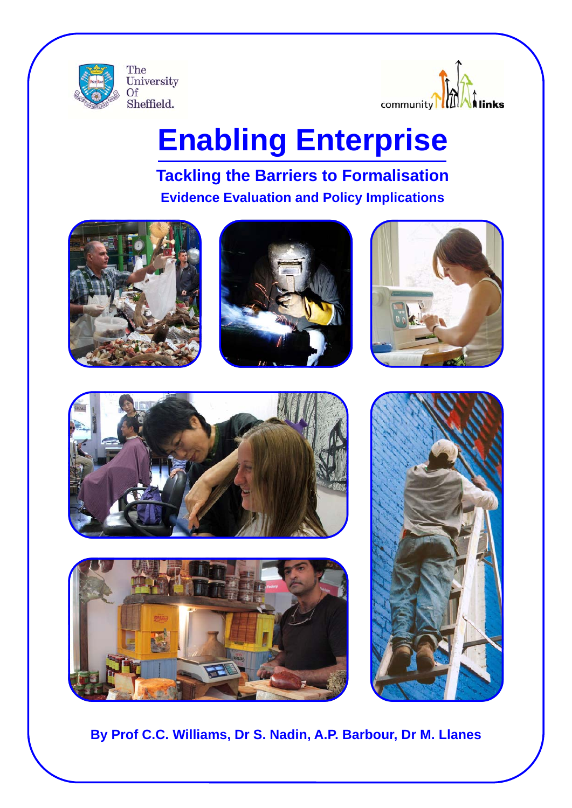



# **Enabling Enterprise**

# **Tackling the Barriers to Formalisation Evidence Evaluation and Policy Implications**













**By Prof C.C. Williams, Dr S. Nadin, A.P. Barbour, Dr M. Llanes**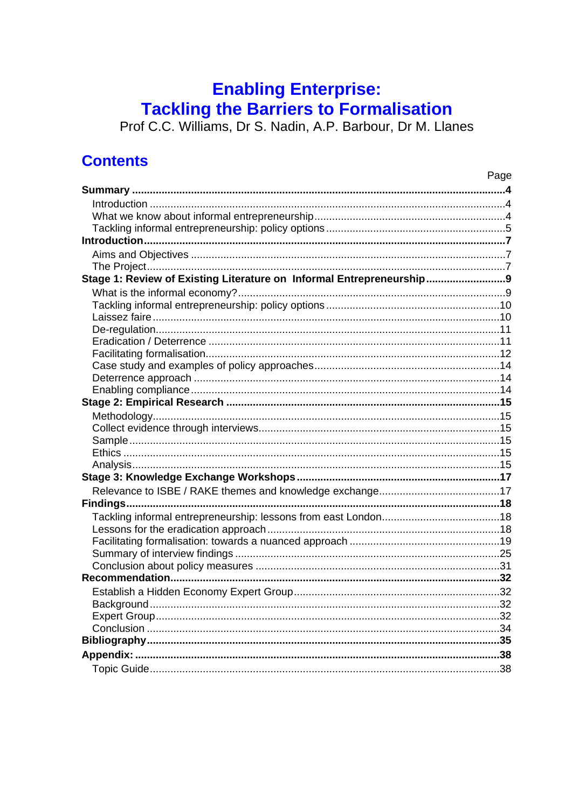# **Enabling Enterprise:**

**Tackling the Barriers to Formalisation**<br>Prof C.C. Williams, Dr S. Nadin, A.P. Barbour, Dr M. Llanes

## **Contents**

|                                                                      | Page |
|----------------------------------------------------------------------|------|
|                                                                      |      |
|                                                                      |      |
|                                                                      |      |
|                                                                      |      |
|                                                                      |      |
|                                                                      |      |
|                                                                      |      |
| Stage 1: Review of Existing Literature on Informal Entrepreneurship9 |      |
|                                                                      |      |
|                                                                      |      |
|                                                                      |      |
|                                                                      |      |
|                                                                      |      |
|                                                                      |      |
|                                                                      |      |
|                                                                      |      |
|                                                                      |      |
|                                                                      |      |
|                                                                      |      |
|                                                                      |      |
|                                                                      |      |
|                                                                      |      |
|                                                                      |      |
|                                                                      |      |
|                                                                      |      |
|                                                                      |      |
|                                                                      |      |
|                                                                      |      |
|                                                                      |      |
|                                                                      |      |
|                                                                      |      |
|                                                                      |      |
|                                                                      |      |
|                                                                      |      |
|                                                                      |      |
|                                                                      |      |
|                                                                      |      |
|                                                                      |      |
|                                                                      |      |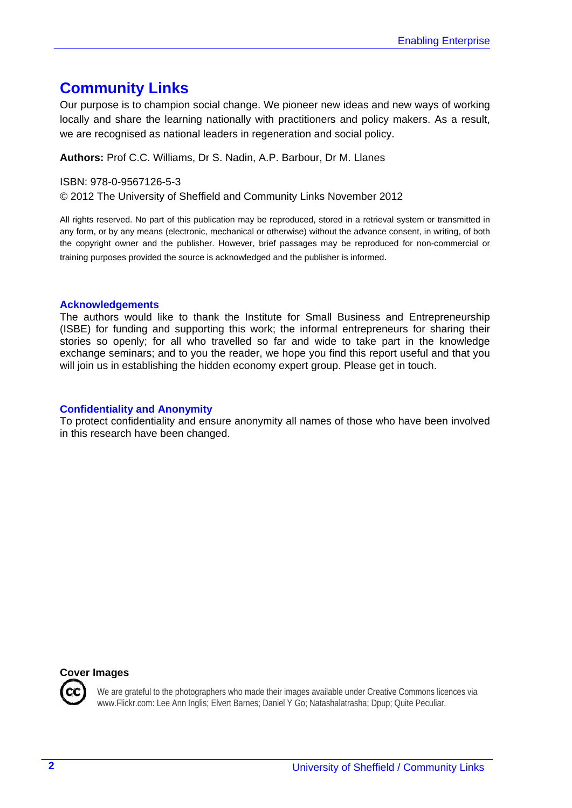## **Community Links**

Our purpose is to champion social change. We pioneer new ideas and new ways of working locally and share the learning nationally with practitioners and policy makers. As a result, we are recognised as national leaders in regeneration and social policy.

#### **Authors:** Prof C.C. Williams, Dr S. Nadin, A.P. Barbour, Dr M. Llanes

#### ISBN: 978-0-9567126-5-3

© 2012 The University of Sheffield and Community Links November 2012

All rights reserved. No part of this publication may be reproduced, stored in a retrieval system or transmitted in any form, or by any means (electronic, mechanical or otherwise) without the advance consent, in writing, of both the copyright owner and the publisher. However, brief passages may be reproduced for non-commercial or training purposes provided the source is acknowledged and the publisher is informed.

#### **Acknowledgements**

The authors would like to thank the Institute for Small Business and Entrepreneurship (ISBE) for funding and supporting this work; the informal entrepreneurs for sharing their stories so openly; for all who travelled so far and wide to take part in the knowledge exchange seminars; and to you the reader, we hope you find this report useful and that you will join us in establishing the hidden economy expert group. Please get in touch.

#### **Confidentiality and Anonymity**

To protect confidentiality and ensure anonymity all names of those who have been involved in this research have been changed.

#### **Cover Images**

We are grateful to the photographers who made their images available under Creative Commons licences via www.Flickr.com: Lee Ann Inglis; Elvert Barnes; Daniel Y Go; Natashalatrasha; Dpup; Quite Peculiar.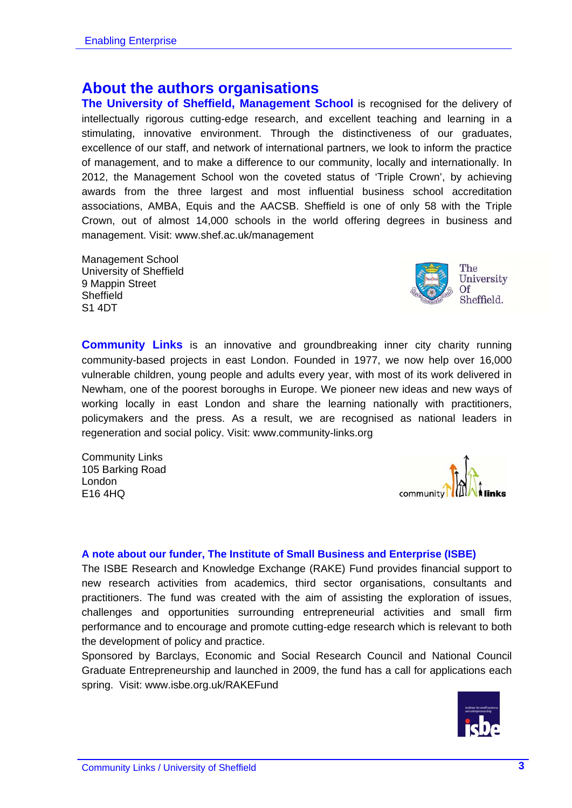## **About the authors organisations**

**The University of Sheffield, Management School** is recognised for the delivery of intellectually rigorous cutting-edge research, and excellent teaching and learning in a stimulating, innovative environment. Through the distinctiveness of our graduates, excellence of our staff, and network of international partners, we look to inform the practice of management, and to make a difference to our community, locally and internationally. In 2012, the Management School won the coveted status of 'Triple Crown', by achieving awards from the three largest and most influential business school accreditation associations, AMBA, Equis and the AACSB. Sheffield is one of only 58 with the Triple Crown, out of almost 14,000 schools in the world offering degrees in business and management. Visit: www.shef.ac.uk/management

Management School University of Sheffield 9 Mappin Street **Sheffield** S1 4DT

**Community Links** is an innovative and groundbreaking inner city charity running community-based projects in east London. Founded in 1977, we now help over 16,000 vulnerable children, young people and adults every year, with most of its work delivered in Newham, one of the poorest boroughs in Europe. We pioneer new ideas and new ways of working locally in east London and share the learning nationally with practitioners, policymakers and the press. As a result, we are recognised as national leaders in regeneration and social policy. Visit: www.community-links.org

Community Links 105 Barking Road London E16 4HQ

#### **A note about our funder, The Institute of Small Business and Enterprise (ISBE)**

The ISBE Research and Knowledge Exchange (RAKE) Fund provides financial support to new research activities from academics, third sector organisations, consultants and practitioners. The fund was created with the aim of assisting the exploration of issues, challenges and opportunities surrounding entrepreneurial activities and small firm performance and to encourage and promote cutting-edge research which is relevant to both the development of policy and practice.

Sponsored by Barclays, Economic and Social Research Council and National Council Graduate Entrepreneurship and launched in 2009, the fund has a call for applications each spring. Visit: www.isbe.org.uk/RAKEFund





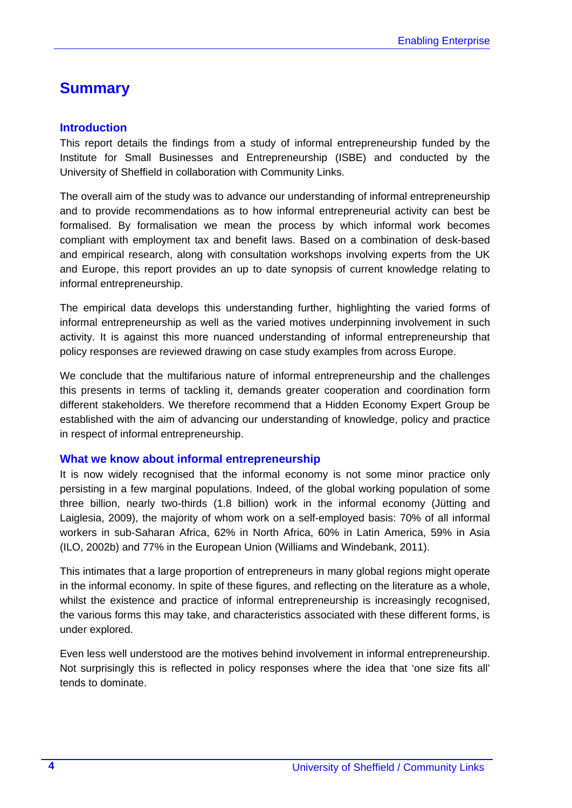## **Summary**

#### **Introduction**

This report details the findings from a study of informal entrepreneurship funded by the Institute for Small Businesses and Entrepreneurship (ISBE) and conducted by the University of Sheffield in collaboration with Community Links.

The overall aim of the study was to advance our understanding of informal entrepreneurship and to provide recommendations as to how informal entrepreneurial activity can best be formalised. By formalisation we mean the process by which informal work becomes compliant with employment tax and benefit laws. Based on a combination of desk-based and empirical research, along with consultation workshops involving experts from the UK and Europe, this report provides an up to date synopsis of current knowledge relating to informal entrepreneurship.

The empirical data develops this understanding further, highlighting the varied forms of informal entrepreneurship as well as the varied motives underpinning involvement in such activity. It is against this more nuanced understanding of informal entrepreneurship that policy responses are reviewed drawing on case study examples from across Europe.

We conclude that the multifarious nature of informal entrepreneurship and the challenges this presents in terms of tackling it, demands greater cooperation and coordination form different stakeholders. We therefore recommend that a Hidden Economy Expert Group be established with the aim of advancing our understanding of knowledge, policy and practice in respect of informal entrepreneurship.

#### **What we know about informal entrepreneurship**

It is now widely recognised that the informal economy is not some minor practice only persisting in a few marginal populations. Indeed, of the global working population of some three billion, nearly two-thirds (1.8 billion) work in the informal economy (Jütting and Laiglesia, 2009), the majority of whom work on a self-employed basis: 70% of all informal workers in sub-Saharan Africa, 62% in North Africa, 60% in Latin America, 59% in Asia (ILO, 2002b) and 77% in the European Union (Williams and Windebank, 2011).

This intimates that a large proportion of entrepreneurs in many global regions might operate in the informal economy. In spite of these figures, and reflecting on the literature as a whole, whilst the existence and practice of informal entrepreneurship is increasingly recognised, the various forms this may take, and characteristics associated with these different forms, is under explored.

Even less well understood are the motives behind involvement in informal entrepreneurship. Not surprisingly this is reflected in policy responses where the idea that 'one size fits all' tends to dominate.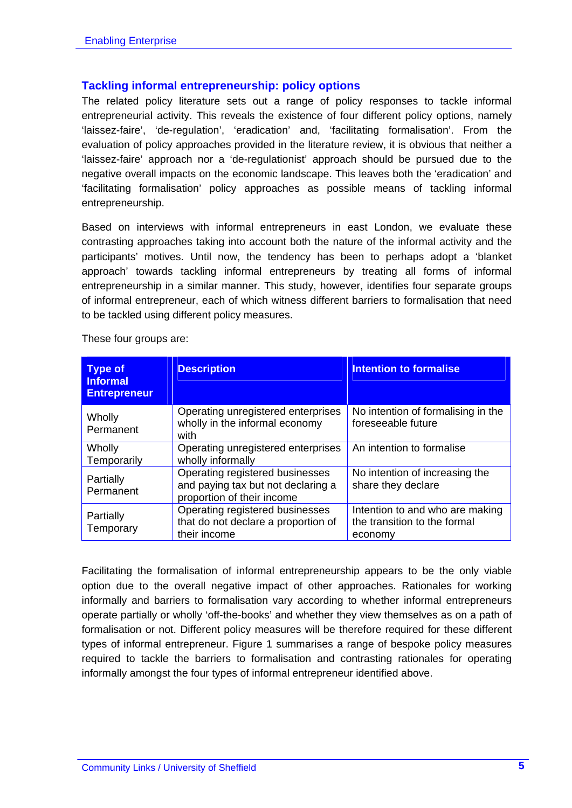#### **Tackling informal entrepreneurship: policy options**

The related policy literature sets out a range of policy responses to tackle informal entrepreneurial activity. This reveals the existence of four different policy options, namely 'laissez-faire', 'de-regulation', 'eradication' and, 'facilitating formalisation'. From the evaluation of policy approaches provided in the literature review, it is obvious that neither a 'laissez-faire' approach nor a 'de-regulationist' approach should be pursued due to the negative overall impacts on the economic landscape. This leaves both the 'eradication' and 'facilitating formalisation' policy approaches as possible means of tackling informal entrepreneurship.

Based on interviews with informal entrepreneurs in east London, we evaluate these contrasting approaches taking into account both the nature of the informal activity and the participants' motives. Until now, the tendency has been to perhaps adopt a 'blanket approach' towards tackling informal entrepreneurs by treating all forms of informal entrepreneurship in a similar manner. This study, however, identifies four separate groups of informal entrepreneur, each of which witness different barriers to formalisation that need to be tackled using different policy measures.

| <b>Type of</b><br><b>Informal</b><br><b>Entrepreneur</b> | <b>Description</b>                                                                                  | <b>Intention to formalise</b>                                              |
|----------------------------------------------------------|-----------------------------------------------------------------------------------------------------|----------------------------------------------------------------------------|
| Wholly<br>Permanent                                      | Operating unregistered enterprises<br>wholly in the informal economy<br>with                        | No intention of formalising in the<br>foreseeable future                   |
| Wholly<br>Temporarily                                    | Operating unregistered enterprises<br>wholly informally                                             | An intention to formalise                                                  |
| Partially<br>Permanent                                   | Operating registered businesses<br>and paying tax but not declaring a<br>proportion of their income | No intention of increasing the<br>share they declare                       |
| Partially<br>Temporary                                   | Operating registered businesses<br>that do not declare a proportion of<br>their income              | Intention to and who are making<br>the transition to the formal<br>economy |

These four groups are:

Facilitating the formalisation of informal entrepreneurship appears to be the only viable option due to the overall negative impact of other approaches. Rationales for working informally and barriers to formalisation vary according to whether informal entrepreneurs operate partially or wholly 'off-the-books' and whether they view themselves as on a path of formalisation or not. Different policy measures will be therefore required for these different types of informal entrepreneur. Figure 1 summarises a range of bespoke policy measures required to tackle the barriers to formalisation and contrasting rationales for operating informally amongst the four types of informal entrepreneur identified above.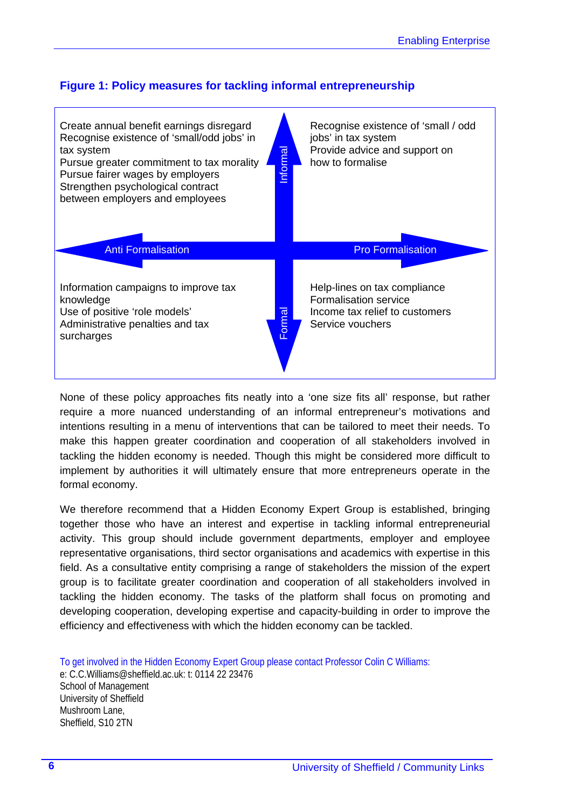#### **Figure 1: Policy measures for tackling informal entrepreneurship**



None of these policy approaches fits neatly into a 'one size fits all' response, but rather require a more nuanced understanding of an informal entrepreneur's motivations and intentions resulting in a menu of interventions that can be tailored to meet their needs. To make this happen greater coordination and cooperation of all stakeholders involved in tackling the hidden economy is needed. Though this might be considered more difficult to implement by authorities it will ultimately ensure that more entrepreneurs operate in the formal economy.

We therefore recommend that a Hidden Economy Expert Group is established, bringing together those who have an interest and expertise in tackling informal entrepreneurial activity. This group should include government departments, employer and employee representative organisations, third sector organisations and academics with expertise in this field. As a consultative entity comprising a range of stakeholders the mission of the expert group is to facilitate greater coordination and cooperation of all stakeholders involved in tackling the hidden economy. The tasks of the platform shall focus on promoting and developing cooperation, developing expertise and capacity-building in order to improve the efficiency and effectiveness with which the hidden economy can be tackled.

To get involved in the Hidden Economy Expert Group please contact Professor Colin C Williams: e: C.C.Williams@sheffield.ac.uk: t: 0114 22 23476 School of Management University of Sheffield Mushroom Lane, Sheffield, S10 2TN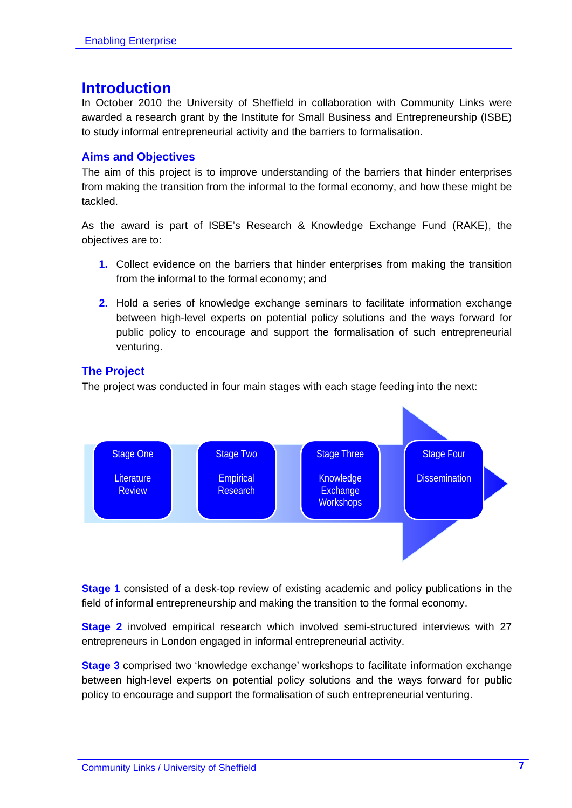### **Introduction**

In October 2010 the University of Sheffield in collaboration with Community Links were awarded a research grant by the Institute for Small Business and Entrepreneurship (ISBE) to study informal entrepreneurial activity and the barriers to formalisation.

#### **Aims and Objectives**

The aim of this project is to improve understanding of the barriers that hinder enterprises from making the transition from the informal to the formal economy, and how these might be tackled.

As the award is part of ISBE's Research & Knowledge Exchange Fund (RAKE), the objectives are to:

- **1.** Collect evidence on the barriers that hinder enterprises from making the transition from the informal to the formal economy; and
- **2.** Hold a series of knowledge exchange seminars to facilitate information exchange between high-level experts on potential policy solutions and the ways forward for public policy to encourage and support the formalisation of such entrepreneurial venturing.

#### **The Project**

The project was conducted in four main stages with each stage feeding into the next:



**Stage 1** consisted of a desk-top review of existing academic and policy publications in the field of informal entrepreneurship and making the transition to the formal economy.

**Stage 2** involved empirical research which involved semi-structured interviews with 27 entrepreneurs in London engaged in informal entrepreneurial activity.

**Stage 3** comprised two 'knowledge exchange' workshops to facilitate information exchange between high-level experts on potential policy solutions and the ways forward for public policy to encourage and support the formalisation of such entrepreneurial venturing.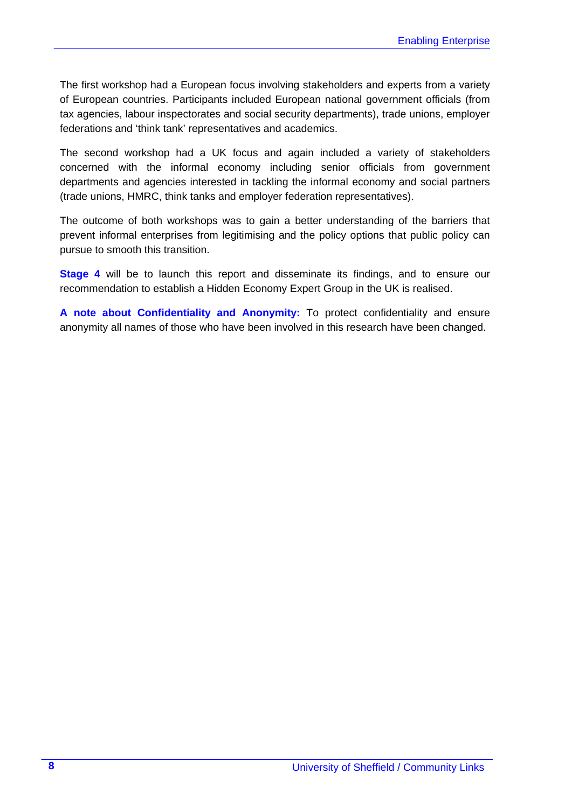The first workshop had a European focus involving stakeholders and experts from a variety of European countries. Participants included European national government officials (from tax agencies, labour inspectorates and social security departments), trade unions, employer federations and 'think tank' representatives and academics.

The second workshop had a UK focus and again included a variety of stakeholders concerned with the informal economy including senior officials from government departments and agencies interested in tackling the informal economy and social partners (trade unions, HMRC, think tanks and employer federation representatives).

The outcome of both workshops was to gain a better understanding of the barriers that prevent informal enterprises from legitimising and the policy options that public policy can pursue to smooth this transition.

**Stage 4** will be to launch this report and disseminate its findings, and to ensure our recommendation to establish a Hidden Economy Expert Group in the UK is realised.

**A note about Confidentiality and Anonymity:** To protect confidentiality and ensure anonymity all names of those who have been involved in this research have been changed.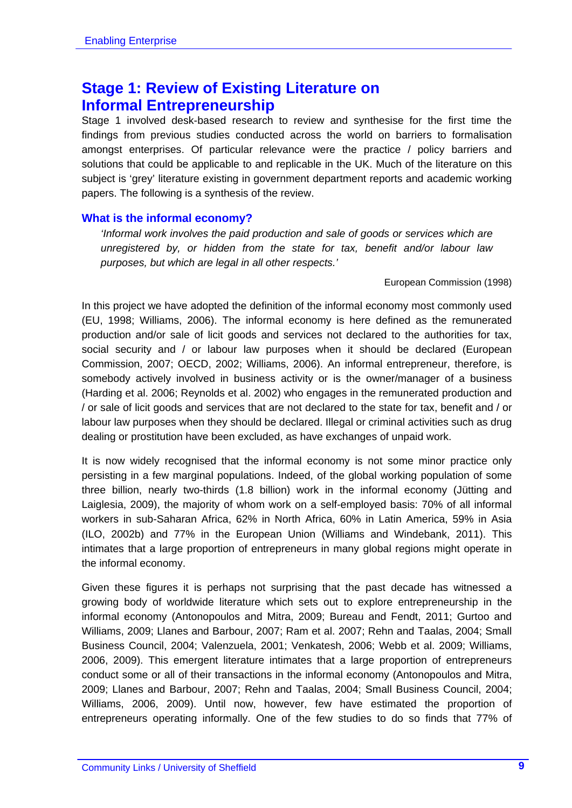## **Stage 1: Review of Existing Literature on Informal Entrepreneurship**

Stage 1 involved desk-based research to review and synthesise for the first time the findings from previous studies conducted across the world on barriers to formalisation amongst enterprises. Of particular relevance were the practice / policy barriers and solutions that could be applicable to and replicable in the UK. Much of the literature on this subject is 'grey' literature existing in government department reports and academic working papers. The following is a synthesis of the review.

#### **What is the informal economy?**

*'Informal work involves the paid production and sale of goods or services which are unregistered by, or hidden from the state for tax, benefit and/or labour law purposes, but which are legal in all other respects.'* 

European Commission (1998)

In this project we have adopted the definition of the informal economy most commonly used (EU, 1998; Williams, 2006). The informal economy is here defined as the remunerated production and/or sale of licit goods and services not declared to the authorities for tax, social security and / or labour law purposes when it should be declared (European Commission, 2007; OECD, 2002; Williams, 2006). An informal entrepreneur, therefore, is somebody actively involved in business activity or is the owner/manager of a business (Harding et al. 2006; Reynolds et al. 2002) who engages in the remunerated production and / or sale of licit goods and services that are not declared to the state for tax, benefit and / or labour law purposes when they should be declared. Illegal or criminal activities such as drug dealing or prostitution have been excluded, as have exchanges of unpaid work.

It is now widely recognised that the informal economy is not some minor practice only persisting in a few marginal populations. Indeed, of the global working population of some three billion, nearly two-thirds (1.8 billion) work in the informal economy (Jütting and Laiglesia, 2009), the majority of whom work on a self-employed basis: 70% of all informal workers in sub-Saharan Africa, 62% in North Africa, 60% in Latin America, 59% in Asia (ILO, 2002b) and 77% in the European Union (Williams and Windebank, 2011). This intimates that a large proportion of entrepreneurs in many global regions might operate in the informal economy.

Given these figures it is perhaps not surprising that the past decade has witnessed a growing body of worldwide literature which sets out to explore entrepreneurship in the informal economy (Antonopoulos and Mitra, 2009; Bureau and Fendt, 2011; Gurtoo and Williams, 2009; Llanes and Barbour, 2007; Ram et al. 2007; Rehn and Taalas, 2004; Small Business Council, 2004; Valenzuela, 2001; Venkatesh, 2006; Webb et al. 2009; Williams, 2006, 2009). This emergent literature intimates that a large proportion of entrepreneurs conduct some or all of their transactions in the informal economy (Antonopoulos and Mitra, 2009; Llanes and Barbour, 2007; Rehn and Taalas, 2004; Small Business Council, 2004; Williams, 2006, 2009). Until now, however, few have estimated the proportion of entrepreneurs operating informally. One of the few studies to do so finds that 77% of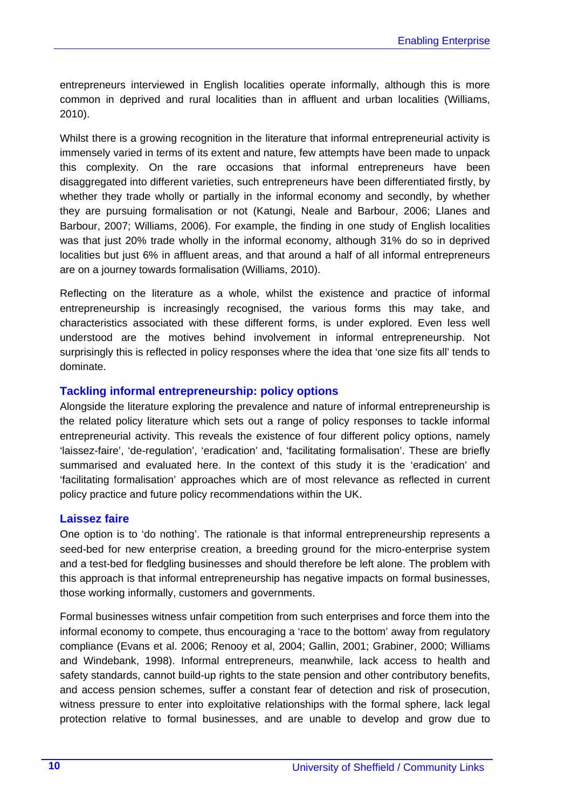entrepreneurs interviewed in English localities operate informally, although this is more common in deprived and rural localities than in affluent and urban localities (Williams, 2010).

Whilst there is a growing recognition in the literature that informal entrepreneurial activity is immensely varied in terms of its extent and nature, few attempts have been made to unpack this complexity. On the rare occasions that informal entrepreneurs have been disaggregated into different varieties, such entrepreneurs have been differentiated firstly, by whether they trade wholly or partially in the informal economy and secondly, by whether they are pursuing formalisation or not (Katungi, Neale and Barbour, 2006; Llanes and Barbour, 2007; Williams, 2006). For example, the finding in one study of English localities was that just 20% trade wholly in the informal economy, although 31% do so in deprived localities but just 6% in affluent areas, and that around a half of all informal entrepreneurs are on a journey towards formalisation (Williams, 2010).

Reflecting on the literature as a whole, whilst the existence and practice of informal entrepreneurship is increasingly recognised, the various forms this may take, and characteristics associated with these different forms, is under explored. Even less well understood are the motives behind involvement in informal entrepreneurship. Not surprisingly this is reflected in policy responses where the idea that 'one size fits all' tends to dominate.

#### **Tackling informal entrepreneurship: policy options**

Alongside the literature exploring the prevalence and nature of informal entrepreneurship is the related policy literature which sets out a range of policy responses to tackle informal entrepreneurial activity. This reveals the existence of four different policy options, namely 'laissez-faire', 'de-regulation', 'eradication' and, 'facilitating formalisation'. These are briefly summarised and evaluated here. In the context of this study it is the 'eradication' and 'facilitating formalisation' approaches which are of most relevance as reflected in current policy practice and future policy recommendations within the UK.

#### **Laissez faire**

One option is to 'do nothing'. The rationale is that informal entrepreneurship represents a seed-bed for new enterprise creation, a breeding ground for the micro-enterprise system and a test-bed for fledgling businesses and should therefore be left alone. The problem with this approach is that informal entrepreneurship has negative impacts on formal businesses, those working informally, customers and governments.

Formal businesses witness unfair competition from such enterprises and force them into the informal economy to compete, thus encouraging a 'race to the bottom' away from regulatory compliance (Evans et al. 2006; Renooy et al, 2004; Gallin, 2001; Grabiner, 2000; Williams and Windebank, 1998). Informal entrepreneurs, meanwhile, lack access to health and safety standards, cannot build-up rights to the state pension and other contributory benefits, and access pension schemes, suffer a constant fear of detection and risk of prosecution, witness pressure to enter into exploitative relationships with the formal sphere, lack legal protection relative to formal businesses, and are unable to develop and grow due to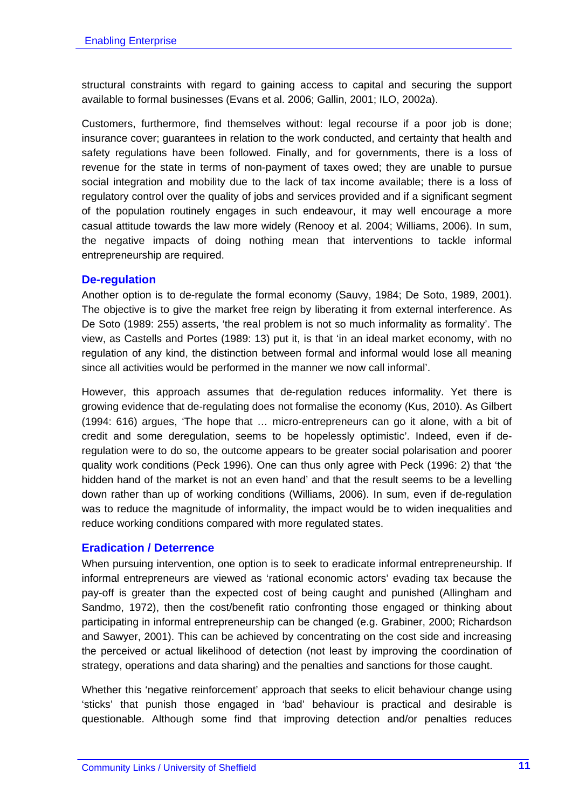structural constraints with regard to gaining access to capital and securing the support available to formal businesses (Evans et al. 2006; Gallin, 2001; ILO, 2002a).

Customers, furthermore, find themselves without: legal recourse if a poor job is done; insurance cover; guarantees in relation to the work conducted, and certainty that health and safety regulations have been followed. Finally, and for governments, there is a loss of revenue for the state in terms of non-payment of taxes owed; they are unable to pursue social integration and mobility due to the lack of tax income available; there is a loss of regulatory control over the quality of jobs and services provided and if a significant segment of the population routinely engages in such endeavour, it may well encourage a more casual attitude towards the law more widely (Renooy et al. 2004; Williams, 2006). In sum, the negative impacts of doing nothing mean that interventions to tackle informal entrepreneurship are required.

#### **De-regulation**

Another option is to de-regulate the formal economy (Sauvy, 1984; De Soto, 1989, 2001). The objective is to give the market free reign by liberating it from external interference. As De Soto (1989: 255) asserts, 'the real problem is not so much informality as formality'. The view, as Castells and Portes (1989: 13) put it, is that 'in an ideal market economy, with no regulation of any kind, the distinction between formal and informal would lose all meaning since all activities would be performed in the manner we now call informal'.

However, this approach assumes that de-regulation reduces informality. Yet there is growing evidence that de-regulating does not formalise the economy (Kus, 2010). As Gilbert (1994: 616) argues, 'The hope that … micro-entrepreneurs can go it alone, with a bit of credit and some deregulation, seems to be hopelessly optimistic'. Indeed, even if deregulation were to do so, the outcome appears to be greater social polarisation and poorer quality work conditions (Peck 1996). One can thus only agree with Peck (1996: 2) that 'the hidden hand of the market is not an even hand' and that the result seems to be a levelling down rather than up of working conditions (Williams, 2006). In sum, even if de-regulation was to reduce the magnitude of informality, the impact would be to widen inequalities and reduce working conditions compared with more regulated states.

#### **Eradication / Deterrence**

When pursuing intervention, one option is to seek to eradicate informal entrepreneurship. If informal entrepreneurs are viewed as 'rational economic actors' evading tax because the pay-off is greater than the expected cost of being caught and punished (Allingham and Sandmo, 1972), then the cost/benefit ratio confronting those engaged or thinking about participating in informal entrepreneurship can be changed (e.g. Grabiner, 2000; Richardson and Sawyer, 2001). This can be achieved by concentrating on the cost side and increasing the perceived or actual likelihood of detection (not least by improving the coordination of strategy, operations and data sharing) and the penalties and sanctions for those caught.

Whether this 'negative reinforcement' approach that seeks to elicit behaviour change using 'sticks' that punish those engaged in 'bad' behaviour is practical and desirable is questionable. Although some find that improving detection and/or penalties reduces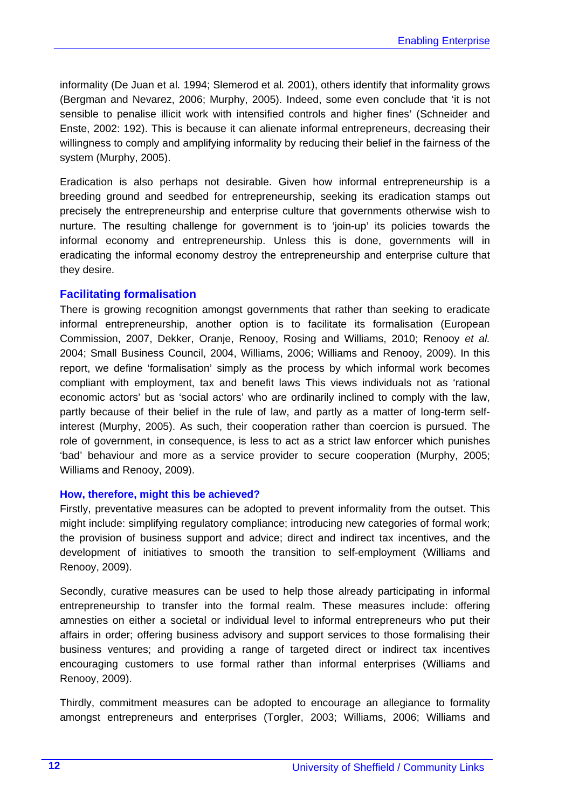informality (De Juan et al*.* 1994; Slemerod et al*.* 2001), others identify that informality grows (Bergman and Nevarez, 2006; Murphy, 2005). Indeed, some even conclude that 'it is not sensible to penalise illicit work with intensified controls and higher fines' (Schneider and Enste, 2002: 192). This is because it can alienate informal entrepreneurs, decreasing their willingness to comply and amplifying informality by reducing their belief in the fairness of the system (Murphy, 2005).

Eradication is also perhaps not desirable. Given how informal entrepreneurship is a breeding ground and seedbed for entrepreneurship, seeking its eradication stamps out precisely the entrepreneurship and enterprise culture that governments otherwise wish to nurture. The resulting challenge for government is to 'join-up' its policies towards the informal economy and entrepreneurship. Unless this is done, governments will in eradicating the informal economy destroy the entrepreneurship and enterprise culture that they desire.

#### **Facilitating formalisation**

There is growing recognition amongst governments that rather than seeking to eradicate informal entrepreneurship, another option is to facilitate its formalisation (European Commission, 2007, Dekker, Oranje, Renooy, Rosing and Williams, 2010; Renooy *et al.* 2004; Small Business Council, 2004, Williams, 2006; Williams and Renooy, 2009). In this report, we define 'formalisation' simply as the process by which informal work becomes compliant with employment, tax and benefit laws This views individuals not as 'rational economic actors' but as 'social actors' who are ordinarily inclined to comply with the law, partly because of their belief in the rule of law, and partly as a matter of long-term selfinterest (Murphy, 2005). As such, their cooperation rather than coercion is pursued. The role of government, in consequence, is less to act as a strict law enforcer which punishes 'bad' behaviour and more as a service provider to secure cooperation (Murphy, 2005; Williams and Renooy, 2009).

#### **How, therefore, might this be achieved?**

Firstly, preventative measures can be adopted to prevent informality from the outset. This might include: simplifying regulatory compliance; introducing new categories of formal work; the provision of business support and advice; direct and indirect tax incentives, and the development of initiatives to smooth the transition to self-employment (Williams and Renooy, 2009).

Secondly, curative measures can be used to help those already participating in informal entrepreneurship to transfer into the formal realm. These measures include: offering amnesties on either a societal or individual level to informal entrepreneurs who put their affairs in order; offering business advisory and support services to those formalising their business ventures; and providing a range of targeted direct or indirect tax incentives encouraging customers to use formal rather than informal enterprises (Williams and Renooy, 2009).

Thirdly, commitment measures can be adopted to encourage an allegiance to formality amongst entrepreneurs and enterprises (Torgler, 2003; Williams, 2006; Williams and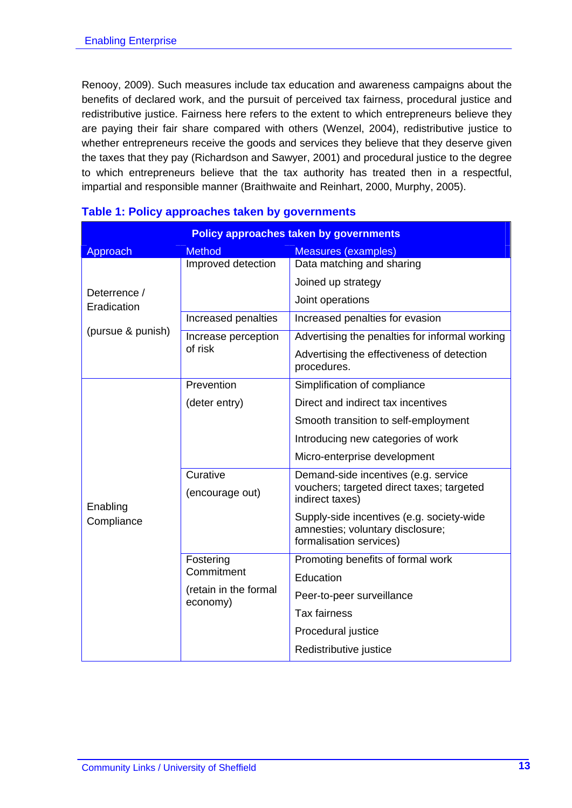Renooy, 2009). Such measures include tax education and awareness campaigns about the benefits of declared work, and the pursuit of perceived tax fairness, procedural justice and redistributive justice. Fairness here refers to the extent to which entrepreneurs believe they are paying their fair share compared with others (Wenzel, 2004), redistributive justice to whether entrepreneurs receive the goods and services they believe that they deserve given the taxes that they pay (Richardson and Sawyer, 2001) and procedural justice to the degree to which entrepreneurs believe that the tax authority has treated then in a respectful, impartial and responsible manner (Braithwaite and Reinhart, 2000, Murphy, 2005).

| <b>Policy approaches taken by governments</b> |                                   |                                                              |  |  |
|-----------------------------------------------|-----------------------------------|--------------------------------------------------------------|--|--|
| Approach                                      | <b>Method</b>                     | <b>Measures (examples)</b>                                   |  |  |
|                                               | Improved detection                | Data matching and sharing                                    |  |  |
|                                               |                                   | Joined up strategy                                           |  |  |
| Deterrence /<br>Eradication                   |                                   | Joint operations                                             |  |  |
|                                               | Increased penalties               | Increased penalties for evasion                              |  |  |
| (pursue & punish)                             | Increase perception               | Advertising the penalties for informal working               |  |  |
|                                               | of risk                           | Advertising the effectiveness of detection<br>procedures.    |  |  |
|                                               | Prevention                        | Simplification of compliance                                 |  |  |
|                                               | (deter entry)                     | Direct and indirect tax incentives                           |  |  |
|                                               |                                   | Smooth transition to self-employment                         |  |  |
|                                               |                                   | Introducing new categories of work                           |  |  |
|                                               |                                   | Micro-enterprise development                                 |  |  |
|                                               | Curative                          | Demand-side incentives (e.g. service                         |  |  |
| Enabling<br>Compliance                        | (encourage out)                   | vouchers; targeted direct taxes; targeted<br>indirect taxes) |  |  |
|                                               |                                   | Supply-side incentives (e.g. society-wide                    |  |  |
|                                               |                                   | amnesties; voluntary disclosure;<br>formalisation services)  |  |  |
|                                               | Fostering                         | Promoting benefits of formal work                            |  |  |
|                                               | Commitment                        | Education                                                    |  |  |
|                                               | (retain in the formal<br>economy) | Peer-to-peer surveillance                                    |  |  |
|                                               |                                   | <b>Tax fairness</b>                                          |  |  |
|                                               |                                   | Procedural justice                                           |  |  |
|                                               |                                   | Redistributive justice                                       |  |  |

#### **Table 1: Policy approaches taken by governments**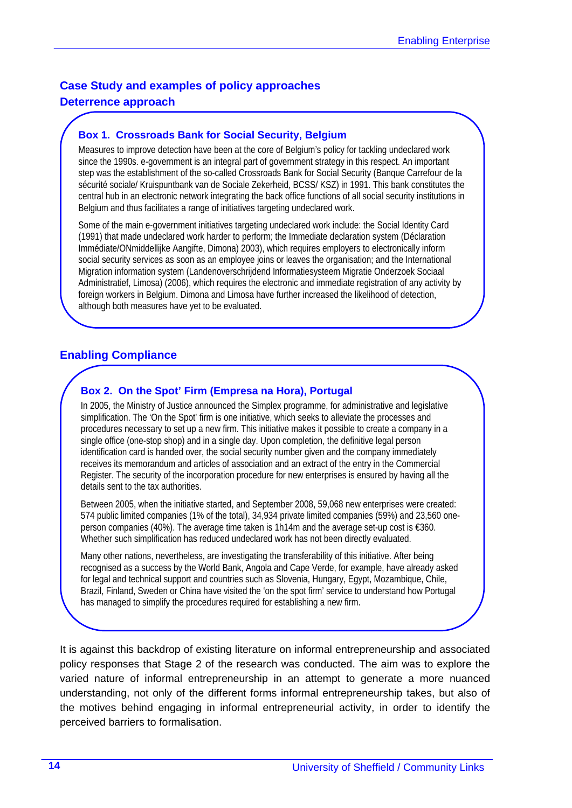#### **Case Study and examples of policy approaches**

#### **Deterrence approach**

#### **Box 1. Crossroads Bank for Social Security, Belgium**

Measures to improve detection have been at the core of Belgium's policy for tackling undeclared work since the 1990s. e-government is an integral part of government strategy in this respect. An important step was the establishment of the so-called Crossroads Bank for Social Security (Banque Carrefour de la sécurité sociale/ Kruispuntbank van de Sociale Zekerheid, BCSS/ KSZ) in 1991. This bank constitutes the central hub in an electronic network integrating the back office functions of all social security institutions in Belgium and thus facilitates a range of initiatives targeting undeclared work.

Some of the main e-government initiatives targeting undeclared work include: the Social Identity Card (1991) that made undeclared work harder to perform; the Immediate declaration system (Déclaration Immédiate/ONmiddellijke Aangifte, Dimona) 2003), which requires employers to electronically inform social security services as soon as an employee joins or leaves the organisation; and the International Migration information system (Landenoverschrijdend Informatiesysteem Migratie Onderzoek Sociaal Administratief, Limosa) (2006), which requires the electronic and immediate registration of any activity by foreign workers in Belgium. Dimona and Limosa have further increased the likelihood of detection, although both measures have yet to be evaluated.

#### **Enabling Compliance**

#### **Box 2. On the Spot' Firm (Empresa na Hora), Portugal**

In 2005, the Ministry of Justice announced the Simplex programme, for administrative and legislative simplification. The 'On the Spot' firm is one initiative, which seeks to alleviate the processes and procedures necessary to set up a new firm. This initiative makes it possible to create a company in a single office (one-stop shop) and in a single day. Upon completion, the definitive legal person identification card is handed over, the social security number given and the company immediately receives its memorandum and articles of association and an extract of the entry in the Commercial Register. The security of the incorporation procedure for new enterprises is ensured by having all the details sent to the tax authorities.

Between 2005, when the initiative started, and September 2008, 59,068 new enterprises were created: 574 public limited companies (1% of the total), 34,934 private limited companies (59%) and 23,560 oneperson companies (40%). The average time taken is 1h14m and the average set-up cost is €360. Whether such simplification has reduced undeclared work has not been directly evaluated.

Many other nations, nevertheless, are investigating the transferability of this initiative. After being recognised as a success by the World Bank, Angola and Cape Verde, for example, have already asked for legal and technical support and countries such as Slovenia, Hungary, Egypt, Mozambique, Chile, Brazil, Finland, Sweden or China have visited the 'on the spot firm' service to understand how Portugal has managed to simplify the procedures required for establishing a new firm.

It is against this backdrop of existing literature on informal entrepreneurship and associated policy responses that Stage 2 of the research was conducted. The aim was to explore the varied nature of informal entrepreneurship in an attempt to generate a more nuanced understanding, not only of the different forms informal entrepreneurship takes, but also of the motives behind engaging in informal entrepreneurial activity, in order to identify the perceived barriers to formalisation.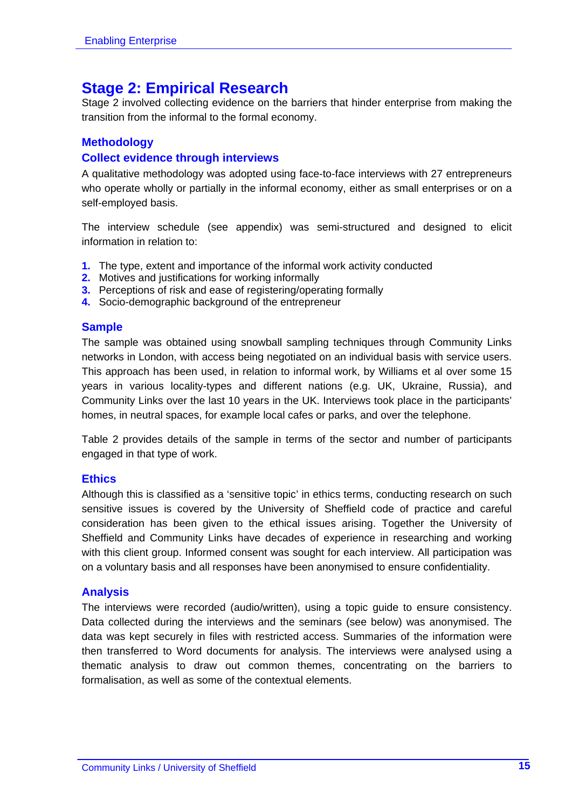## **Stage 2: Empirical Research**

Stage 2 involved collecting evidence on the barriers that hinder enterprise from making the transition from the informal to the formal economy.

#### **Methodology**

#### **Collect evidence through interviews**

A qualitative methodology was adopted using face-to-face interviews with 27 entrepreneurs who operate wholly or partially in the informal economy, either as small enterprises or on a self-employed basis.

The interview schedule (see appendix) was semi-structured and designed to elicit information in relation to:

- **1.** The type, extent and importance of the informal work activity conducted
- **2.** Motives and justifications for working informally
- **3.** Perceptions of risk and ease of registering/operating formally
- **4.** Socio-demographic background of the entrepreneur

#### **Sample**

The sample was obtained using snowball sampling techniques through Community Links networks in London, with access being negotiated on an individual basis with service users. This approach has been used, in relation to informal work, by Williams et al over some 15 years in various locality-types and different nations (e.g. UK, Ukraine, Russia), and Community Links over the last 10 years in the UK. Interviews took place in the participants' homes, in neutral spaces, for example local cafes or parks, and over the telephone.

Table 2 provides details of the sample in terms of the sector and number of participants engaged in that type of work.

#### **Ethics**

Although this is classified as a 'sensitive topic' in ethics terms, conducting research on such sensitive issues is covered by the University of Sheffield code of practice and careful consideration has been given to the ethical issues arising. Together the University of Sheffield and Community Links have decades of experience in researching and working with this client group. Informed consent was sought for each interview. All participation was on a voluntary basis and all responses have been anonymised to ensure confidentiality.

#### **Analysis**

The interviews were recorded (audio/written), using a topic guide to ensure consistency. Data collected during the interviews and the seminars (see below) was anonymised. The data was kept securely in files with restricted access. Summaries of the information were then transferred to Word documents for analysis. The interviews were analysed using a thematic analysis to draw out common themes, concentrating on the barriers to formalisation, as well as some of the contextual elements.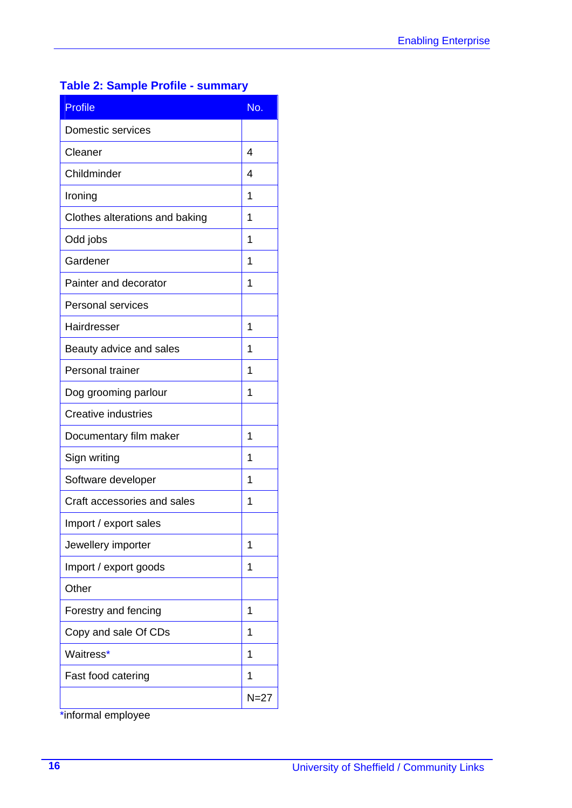## **Table 2: Sample Profile - summary**

| <b>Profile</b>                 | No.            |
|--------------------------------|----------------|
| Domestic services              |                |
| Cleaner                        | $\overline{4}$ |
| Childminder                    | 4              |
| Ironing                        | 1              |
| Clothes alterations and baking | 1              |
| Odd jobs                       | 1              |
| Gardener                       | 1              |
| Painter and decorator          | 1              |
| <b>Personal services</b>       |                |
| Hairdresser                    | 1              |
| Beauty advice and sales        | 1              |
| Personal trainer               | 1              |
| Dog grooming parlour           | 1              |
| <b>Creative industries</b>     |                |
| Documentary film maker         | 1              |
| Sign writing                   | 1              |
| Software developer             | 1              |
| Craft accessories and sales    | 1              |
| Import / export sales          |                |
| Jewellery importer             | 1              |
| Import / export goods          | 1              |
| Other                          |                |
| Forestry and fencing           | 1              |
| Copy and sale Of CDs           | 1              |
| Waitress*                      | 1              |
| Fast food catering             | 1              |
|                                | $N=27$         |

\*informal employee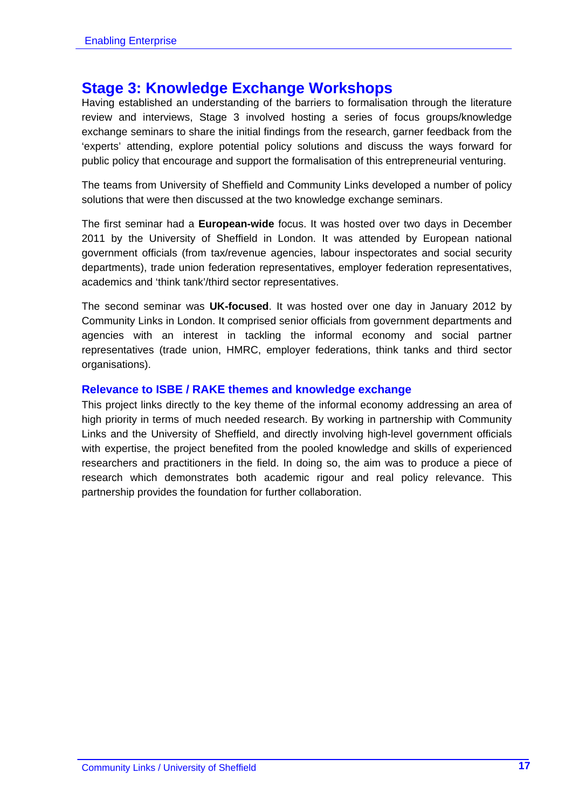### **Stage 3: Knowledge Exchange Workshops**

Having established an understanding of the barriers to formalisation through the literature review and interviews, Stage 3 involved hosting a series of focus groups/knowledge exchange seminars to share the initial findings from the research, garner feedback from the 'experts' attending, explore potential policy solutions and discuss the ways forward for public policy that encourage and support the formalisation of this entrepreneurial venturing.

The teams from University of Sheffield and Community Links developed a number of policy solutions that were then discussed at the two knowledge exchange seminars.

The first seminar had a **European-wide** focus. It was hosted over two days in December 2011 by the University of Sheffield in London. It was attended by European national government officials (from tax/revenue agencies, labour inspectorates and social security departments), trade union federation representatives, employer federation representatives, academics and 'think tank'/third sector representatives.

The second seminar was **UK-focused**. It was hosted over one day in January 2012 by Community Links in London. It comprised senior officials from government departments and agencies with an interest in tackling the informal economy and social partner representatives (trade union, HMRC, employer federations, think tanks and third sector organisations).

#### **Relevance to ISBE / RAKE themes and knowledge exchange**

This project links directly to the key theme of the informal economy addressing an area of high priority in terms of much needed research. By working in partnership with Community Links and the University of Sheffield, and directly involving high-level government officials with expertise, the project benefited from the pooled knowledge and skills of experienced researchers and practitioners in the field. In doing so, the aim was to produce a piece of research which demonstrates both academic rigour and real policy relevance. This partnership provides the foundation for further collaboration.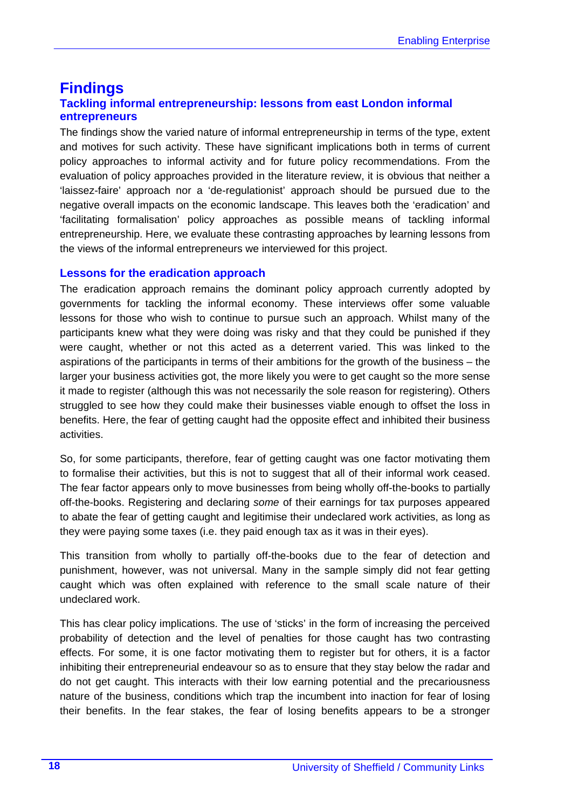#### **Findings Tackling informal entrepreneurship: lessons from east London informal entrepreneurs**

The findings show the varied nature of informal entrepreneurship in terms of the type, extent and motives for such activity. These have significant implications both in terms of current policy approaches to informal activity and for future policy recommendations. From the evaluation of policy approaches provided in the literature review, it is obvious that neither a 'laissez-faire' approach nor a 'de-regulationist' approach should be pursued due to the negative overall impacts on the economic landscape. This leaves both the 'eradication' and 'facilitating formalisation' policy approaches as possible means of tackling informal entrepreneurship. Here, we evaluate these contrasting approaches by learning lessons from the views of the informal entrepreneurs we interviewed for this project.

#### **Lessons for the eradication approach**

The eradication approach remains the dominant policy approach currently adopted by governments for tackling the informal economy. These interviews offer some valuable lessons for those who wish to continue to pursue such an approach. Whilst many of the participants knew what they were doing was risky and that they could be punished if they were caught, whether or not this acted as a deterrent varied. This was linked to the aspirations of the participants in terms of their ambitions for the growth of the business – the larger your business activities got, the more likely you were to get caught so the more sense it made to register (although this was not necessarily the sole reason for registering). Others struggled to see how they could make their businesses viable enough to offset the loss in benefits. Here, the fear of getting caught had the opposite effect and inhibited their business activities.

So, for some participants, therefore, fear of getting caught was one factor motivating them to formalise their activities, but this is not to suggest that all of their informal work ceased. The fear factor appears only to move businesses from being wholly off-the-books to partially off-the-books. Registering and declaring *some* of their earnings for tax purposes appeared to abate the fear of getting caught and legitimise their undeclared work activities, as long as they were paying some taxes (i.e. they paid enough tax as it was in their eyes).

This transition from wholly to partially off-the-books due to the fear of detection and punishment, however, was not universal. Many in the sample simply did not fear getting caught which was often explained with reference to the small scale nature of their undeclared work.

This has clear policy implications. The use of 'sticks' in the form of increasing the perceived probability of detection and the level of penalties for those caught has two contrasting effects. For some, it is one factor motivating them to register but for others, it is a factor inhibiting their entrepreneurial endeavour so as to ensure that they stay below the radar and do not get caught. This interacts with their low earning potential and the precariousness nature of the business, conditions which trap the incumbent into inaction for fear of losing their benefits. In the fear stakes, the fear of losing benefits appears to be a stronger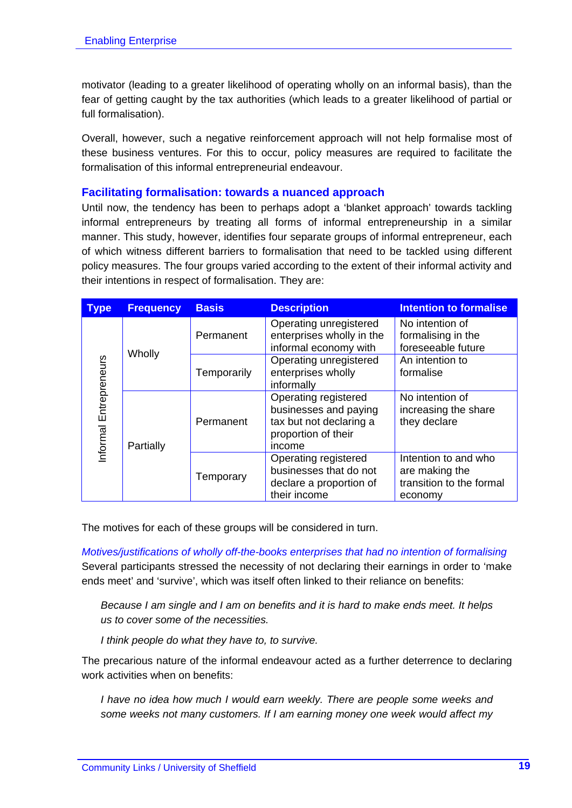motivator (leading to a greater likelihood of operating wholly on an informal basis), than the fear of getting caught by the tax authorities (which leads to a greater likelihood of partial or full formalisation).

Overall, however, such a negative reinforcement approach will not help formalise most of these business ventures. For this to occur, policy measures are required to facilitate the formalisation of this informal entrepreneurial endeavour.

#### **Facilitating formalisation: towards a nuanced approach**

Until now, the tendency has been to perhaps adopt a 'blanket approach' towards tackling informal entrepreneurs by treating all forms of informal entrepreneurship in a similar manner. This study, however, identifies four separate groups of informal entrepreneur, each of which witness different barriers to formalisation that need to be tackled using different policy measures. The four groups varied according to the extent of their informal activity and their intentions in respect of formalisation. They are:

| <b>Type</b>   | <b>Frequency</b> | <b>Basis</b> | <b>Description</b>                                                                                        | <b>Intention to formalise</b>                                                 |
|---------------|------------------|--------------|-----------------------------------------------------------------------------------------------------------|-------------------------------------------------------------------------------|
| Entrepreneurs | Wholly           | Permanent    | Operating unregistered<br>enterprises wholly in the<br>informal economy with                              | No intention of<br>formalising in the<br>foreseeable future                   |
|               |                  | Temporarily  | Operating unregistered<br>enterprises wholly<br>informally                                                | An intention to<br>formalise                                                  |
| nformal       | Partially        | Permanent    | Operating registered<br>businesses and paying<br>tax but not declaring a<br>proportion of their<br>income | No intention of<br>increasing the share<br>they declare                       |
|               |                  | Temporary    | Operating registered<br>businesses that do not<br>declare a proportion of<br>their income                 | Intention to and who<br>are making the<br>transition to the formal<br>economy |

The motives for each of these groups will be considered in turn.

*Motives/justifications of wholly off-the-books enterprises that had no intention of formalising*  Several participants stressed the necessity of not declaring their earnings in order to 'make ends meet' and 'survive', which was itself often linked to their reliance on benefits:

*Because I am single and I am on benefits and it is hard to make ends meet. It helps us to cover some of the necessities.* 

*I think people do what they have to, to survive.* 

The precarious nature of the informal endeavour acted as a further deterrence to declaring work activities when on benefits:

*I have no idea how much I would earn weekly. There are people some weeks and some weeks not many customers. If I am earning money one week would affect my*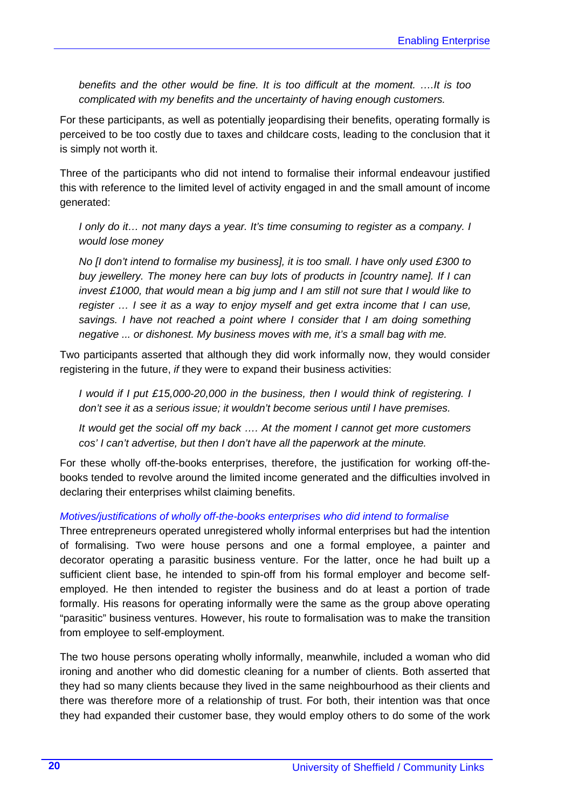*benefits and the other would be fine. It is too difficult at the moment. ….It is too complicated with my benefits and the uncertainty of having enough customers.* 

For these participants, as well as potentially jeopardising their benefits, operating formally is perceived to be too costly due to taxes and childcare costs, leading to the conclusion that it is simply not worth it.

Three of the participants who did not intend to formalise their informal endeavour justified this with reference to the limited level of activity engaged in and the small amount of income generated:

*I* only do it... not many days a year. It's time consuming to register as a company. I *would lose money* 

*No [I don't intend to formalise my business], it is too small. I have only used £300 to buy jewellery. The money here can buy lots of products in [country name]. If I can invest £1000, that would mean a big jump and I am still not sure that I would like to register … I see it as a way to enjoy myself and get extra income that I can use, savings. I have not reached a point where I consider that I am doing something negative ... or dishonest. My business moves with me, it's a small bag with me.* 

Two participants asserted that although they did work informally now, they would consider registering in the future, *if* they were to expand their business activities:

*I* would if *I put £15,000-20,000 in the business, then I would think of registering. I don't see it as a serious issue; it wouldn't become serious until I have premises.* 

*It would get the social off my back …. At the moment I cannot get more customers cos' I can't advertise, but then I don't have all the paperwork at the minute.* 

For these wholly off-the-books enterprises, therefore, the justification for working off-thebooks tended to revolve around the limited income generated and the difficulties involved in declaring their enterprises whilst claiming benefits.

#### *Motives/justifications of wholly off-the-books enterprises who did intend to formalise*

Three entrepreneurs operated unregistered wholly informal enterprises but had the intention of formalising. Two were house persons and one a formal employee, a painter and decorator operating a parasitic business venture. For the latter, once he had built up a sufficient client base, he intended to spin-off from his formal employer and become selfemployed. He then intended to register the business and do at least a portion of trade formally. His reasons for operating informally were the same as the group above operating "parasitic" business ventures. However, his route to formalisation was to make the transition from employee to self-employment.

The two house persons operating wholly informally, meanwhile, included a woman who did ironing and another who did domestic cleaning for a number of clients. Both asserted that they had so many clients because they lived in the same neighbourhood as their clients and there was therefore more of a relationship of trust. For both, their intention was that once they had expanded their customer base, they would employ others to do some of the work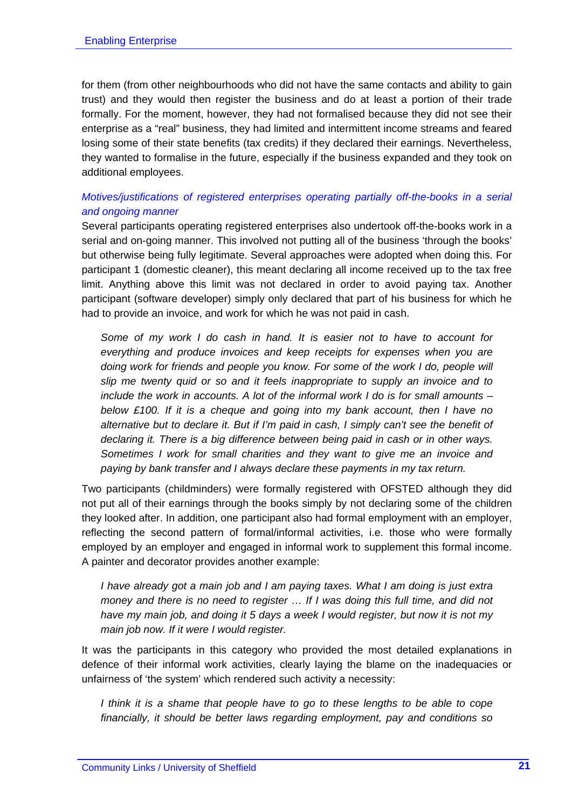for them (from other neighbourhoods who did not have the same contacts and ability to gain trust) and they would then register the business and do at least a portion of their trade formally. For the moment, however, they had not formalised because they did not see their enterprise as a "real" business, they had limited and intermittent income streams and feared losing some of their state benefits (tax credits) if they declared their earnings. Nevertheless, they wanted to formalise in the future, especially if the business expanded and they took on additional employees.

#### *Motives/justifications of registered enterprises operating partially off-the-books in a serial and ongoing manner*

Several participants operating registered enterprises also undertook off-the-books work in a serial and on-going manner. This involved not putting all of the business 'through the books' but otherwise being fully legitimate. Several approaches were adopted when doing this. For participant 1 (domestic cleaner), this meant declaring all income received up to the tax free limit. Anything above this limit was not declared in order to avoid paying tax. Another participant (software developer) simply only declared that part of his business for which he had to provide an invoice, and work for which he was not paid in cash.

*Some of my work I do cash in hand. It is easier not to have to account for everything and produce invoices and keep receipts for expenses when you are doing work for friends and people you know. For some of the work I do, people will slip me twenty quid or so and it feels inappropriate to supply an invoice and to include the work in accounts. A lot of the informal work I do is for small amounts – below £100. If it is a cheque and going into my bank account, then I have no alternative but to declare it. But if I'm paid in cash, I simply can't see the benefit of declaring it. There is a big difference between being paid in cash or in other ways. Sometimes I work for small charities and they want to give me an invoice and paying by bank transfer and I always declare these payments in my tax return.* 

Two participants (childminders) were formally registered with OFSTED although they did not put all of their earnings through the books simply by not declaring some of the children they looked after. In addition, one participant also had formal employment with an employer, reflecting the second pattern of formal/informal activities, i.e. those who were formally employed by an employer and engaged in informal work to supplement this formal income. A painter and decorator provides another example:

*I have already got a main job and I am paying taxes. What I am doing is just extra money and there is no need to register … If I was doing this full time, and did not have my main job, and doing it 5 days a week I would register, but now it is not my main job now. If it were I would register.* 

It was the participants in this category who provided the most detailed explanations in defence of their informal work activities, clearly laying the blame on the inadequacies or unfairness of 'the system' which rendered such activity a necessity:

*I think it is a shame that people have to go to these lengths to be able to cope financially, it should be better laws regarding employment, pay and conditions so*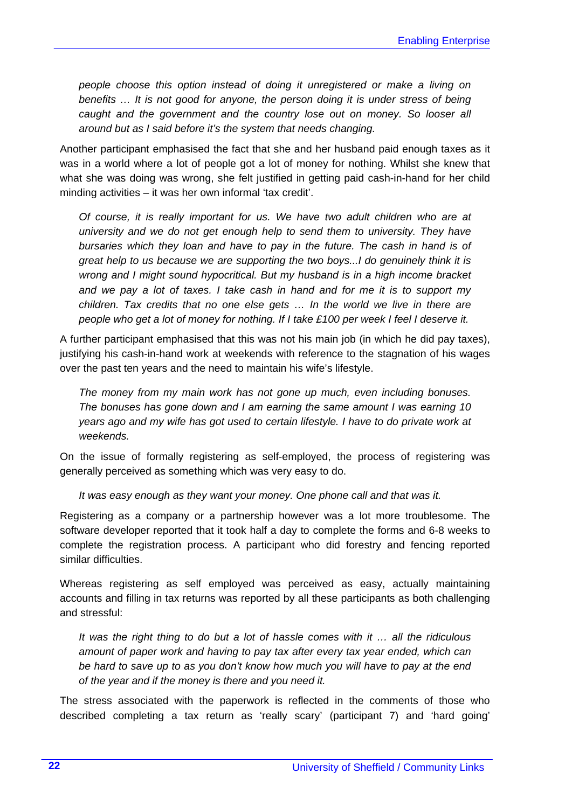*people choose this option instead of doing it unregistered or make a living on benefits … It is not good for anyone, the person doing it is under stress of being caught and the government and the country lose out on money. So looser all around but as I said before it's the system that needs changing.* 

Another participant emphasised the fact that she and her husband paid enough taxes as it was in a world where a lot of people got a lot of money for nothing. Whilst she knew that what she was doing was wrong, she felt justified in getting paid cash-in-hand for her child minding activities – it was her own informal 'tax credit'.

*Of course, it is really important for us. We have two adult children who are at university and we do not get enough help to send them to university. They have bursaries which they loan and have to pay in the future. The cash in hand is of great help to us because we are supporting the two boys...I do genuinely think it is wrong and I might sound hypocritical. But my husband is in a high income bracket and we pay a lot of taxes. I take cash in hand and for me it is to support my children. Tax credits that no one else gets … In the world we live in there are people who get a lot of money for nothing. If I take £100 per week I feel I deserve it.* 

A further participant emphasised that this was not his main job (in which he did pay taxes), justifying his cash-in-hand work at weekends with reference to the stagnation of his wages over the past ten years and the need to maintain his wife's lifestyle.

*The money from my main work has not gone up much, even including bonuses. The bonuses has gone down and I am earning the same amount I was earning 10 years ago and my wife has got used to certain lifestyle. I have to do private work at weekends.* 

On the issue of formally registering as self-employed, the process of registering was generally perceived as something which was very easy to do.

*It was easy enough as they want your money. One phone call and that was it.* 

Registering as a company or a partnership however was a lot more troublesome. The software developer reported that it took half a day to complete the forms and 6-8 weeks to complete the registration process. A participant who did forestry and fencing reported similar difficulties.

Whereas registering as self employed was perceived as easy, actually maintaining accounts and filling in tax returns was reported by all these participants as both challenging and stressful:

*It was the right thing to do but a lot of hassle comes with it … all the ridiculous amount of paper work and having to pay tax after every tax year ended, which can be hard to save up to as you don't know how much you will have to pay at the end of the year and if the money is there and you need it.* 

The stress associated with the paperwork is reflected in the comments of those who described completing a tax return as 'really scary' (participant 7) and 'hard going'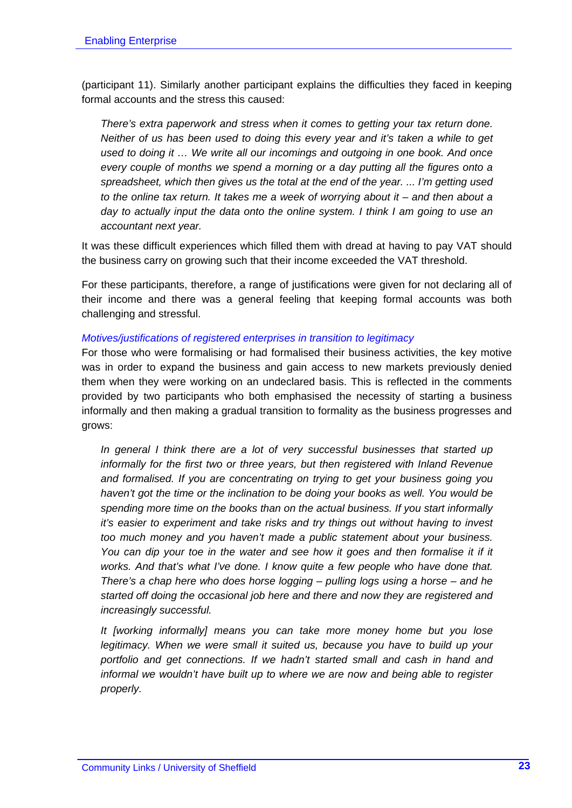(participant 11). Similarly another participant explains the difficulties they faced in keeping formal accounts and the stress this caused:

*There's extra paperwork and stress when it comes to getting your tax return done. Neither of us has been used to doing this every year and it's taken a while to get used to doing it … We write all our incomings and outgoing in one book. And once every couple of months we spend a morning or a day putting all the figures onto a spreadsheet, which then gives us the total at the end of the year. ... I'm getting used to the online tax return. It takes me a week of worrying about it – and then about a day to actually input the data onto the online system. I think I am going to use an accountant next year.* 

It was these difficult experiences which filled them with dread at having to pay VAT should the business carry on growing such that their income exceeded the VAT threshold.

For these participants, therefore, a range of justifications were given for not declaring all of their income and there was a general feeling that keeping formal accounts was both challenging and stressful.

#### *Motives/justifications of registered enterprises in transition to legitimacy*

For those who were formalising or had formalised their business activities, the key motive was in order to expand the business and gain access to new markets previously denied them when they were working on an undeclared basis. This is reflected in the comments provided by two participants who both emphasised the necessity of starting a business informally and then making a gradual transition to formality as the business progresses and grows:

*In general I think there are a lot of very successful businesses that started up informally for the first two or three years, but then registered with Inland Revenue and formalised. If you are concentrating on trying to get your business going you haven't got the time or the inclination to be doing your books as well. You would be spending more time on the books than on the actual business. If you start informally it's easier to experiment and take risks and try things out without having to invest too much money and you haven't made a public statement about your business.*  You can dip your toe in the water and see how it goes and then formalise it if it *works. And that's what I've done. I know quite a few people who have done that. There's a chap here who does horse logging – pulling logs using a horse – and he started off doing the occasional job here and there and now they are registered and increasingly successful.* 

*It [working informally] means you can take more money home but you lose legitimacy. When we were small it suited us, because you have to build up your portfolio and get connections. If we hadn't started small and cash in hand and informal we wouldn't have built up to where we are now and being able to register properly.*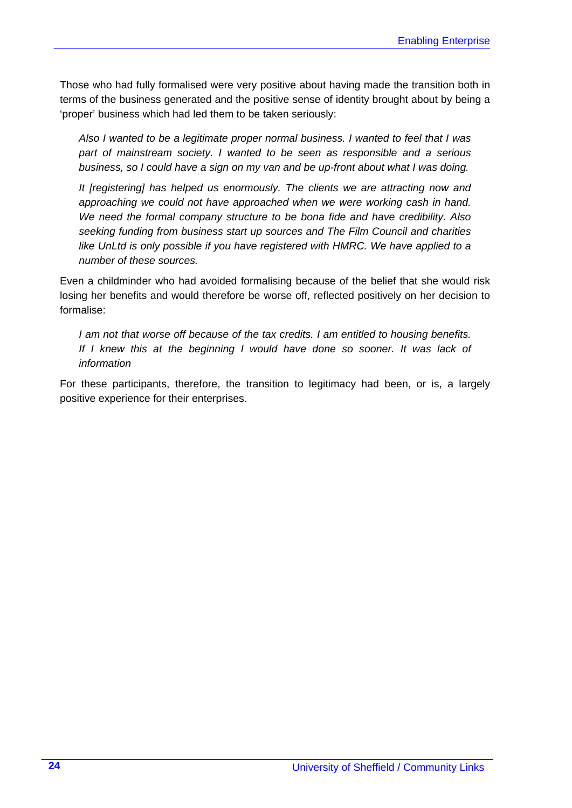Those who had fully formalised were very positive about having made the transition both in terms of the business generated and the positive sense of identity brought about by being a 'proper' business which had led them to be taken seriously:

*Also I wanted to be a legitimate proper normal business. I wanted to feel that I was part of mainstream society. I wanted to be seen as responsible and a serious business, so I could have a sign on my van and be up-front about what I was doing.* 

*It [registering] has helped us enormously. The clients we are attracting now and approaching we could not have approached when we were working cash in hand. We need the formal company structure to be bona fide and have credibility. Also seeking funding from business start up sources and The Film Council and charities like UnLtd is only possible if you have registered with HMRC. We have applied to a number of these sources.* 

Even a childminder who had avoided formalising because of the belief that she would risk losing her benefits and would therefore be worse off, reflected positively on her decision to formalise:

*I am not that worse off because of the tax credits. I am entitled to housing benefits.*  If I knew this at the beginning I would have done so sooner. It was lack of *information* 

For these participants, therefore, the transition to legitimacy had been, or is, a largely positive experience for their enterprises.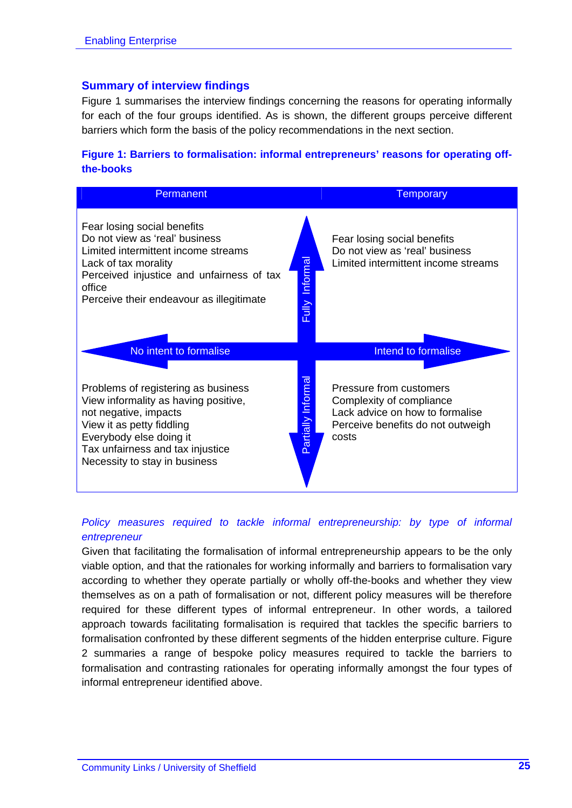#### **Summary of interview findings**

Figure 1 summarises the interview findings concerning the reasons for operating informally for each of the four groups identified. As is shown, the different groups perceive different barriers which form the basis of the policy recommendations in the next section.

#### **Figure 1: Barriers to formalisation: informal entrepreneurs' reasons for operating offthe-books**

| <b>Permanent</b>                                                                                                                                                                                                                                            | <b>Temporary</b>                                                                                                                     |
|-------------------------------------------------------------------------------------------------------------------------------------------------------------------------------------------------------------------------------------------------------------|--------------------------------------------------------------------------------------------------------------------------------------|
| Fear losing social benefits<br>Do not view as 'real' business<br>Limited intermittent income streams<br>Fully Informal<br>Lack of tax morality<br>Perceived injustice and unfairness of tax<br>office<br>Perceive their endeavour as illegitimate           | Fear losing social benefits<br>Do not view as 'real' business<br>Limited intermittent income streams                                 |
| No intent to formalise                                                                                                                                                                                                                                      | <b>Intend to formalise</b>                                                                                                           |
| artially Informa<br>Problems of registering as business<br>View informality as having positive,<br>not negative, impacts<br>View it as petty fiddling<br>Everybody else doing it<br>Tax unfairness and tax injustice<br>Õ.<br>Necessity to stay in business | Pressure from customers<br>Complexity of compliance<br>Lack advice on how to formalise<br>Perceive benefits do not outweigh<br>costs |

#### *Policy measures required to tackle informal entrepreneurship: by type of informal entrepreneur*

Given that facilitating the formalisation of informal entrepreneurship appears to be the only viable option, and that the rationales for working informally and barriers to formalisation vary according to whether they operate partially or wholly off-the-books and whether they view themselves as on a path of formalisation or not, different policy measures will be therefore required for these different types of informal entrepreneur. In other words, a tailored approach towards facilitating formalisation is required that tackles the specific barriers to formalisation confronted by these different segments of the hidden enterprise culture. Figure 2 summaries a range of bespoke policy measures required to tackle the barriers to formalisation and contrasting rationales for operating informally amongst the four types of informal entrepreneur identified above.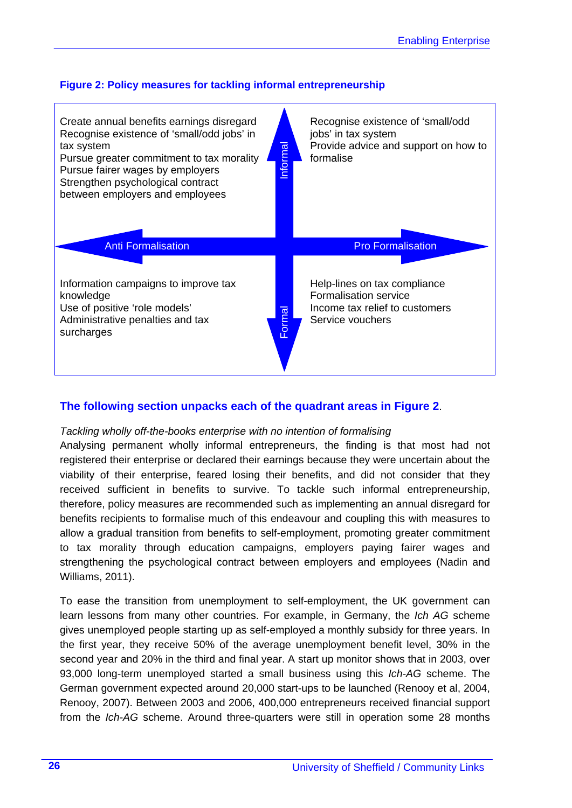



#### **The following section unpacks each of the quadrant areas in Figure 2**.

#### *Tackling wholly off-the-books enterprise with no intention of formalising*

Analysing permanent wholly informal entrepreneurs, the finding is that most had not registered their enterprise or declared their earnings because they were uncertain about the viability of their enterprise, feared losing their benefits, and did not consider that they received sufficient in benefits to survive. To tackle such informal entrepreneurship, therefore, policy measures are recommended such as implementing an annual disregard for benefits recipients to formalise much of this endeavour and coupling this with measures to allow a gradual transition from benefits to self-employment, promoting greater commitment to tax morality through education campaigns, employers paying fairer wages and strengthening the psychological contract between employers and employees (Nadin and Williams, 2011).

To ease the transition from unemployment to self-employment, the UK government can learn lessons from many other countries. For example, in Germany, the *Ich AG* scheme gives unemployed people starting up as self-employed a monthly subsidy for three years. In the first year, they receive 50% of the average unemployment benefit level, 30% in the second year and 20% in the third and final year. A start up monitor shows that in 2003, over 93,000 long-term unemployed started a small business using this *Ich-AG* scheme. The German government expected around 20,000 start-ups to be launched (Renooy et al, 2004, Renooy, 2007). Between 2003 and 2006, 400,000 entrepreneurs received financial support from the *Ich-AG* scheme. Around three-quarters were still in operation some 28 months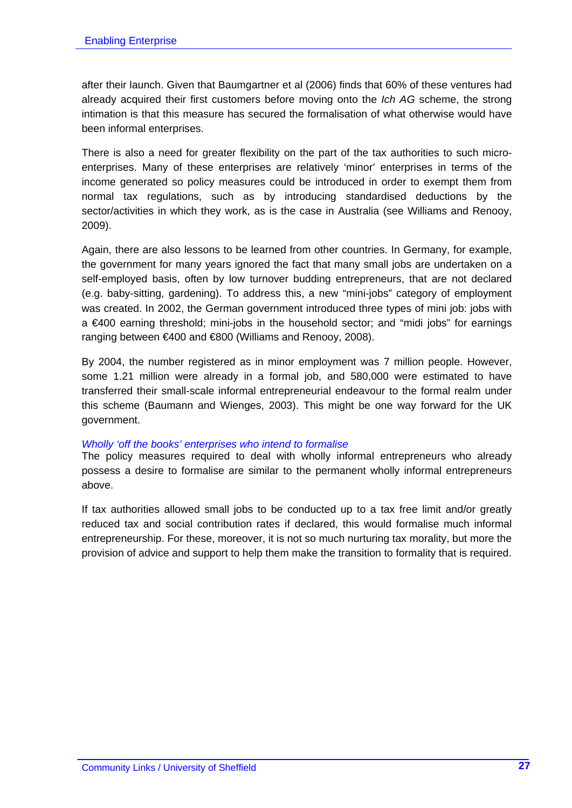after their launch. Given that Baumgartner et al (2006) finds that 60% of these ventures had already acquired their first customers before moving onto the *Ich AG* scheme, the strong intimation is that this measure has secured the formalisation of what otherwise would have been informal enterprises.

There is also a need for greater flexibility on the part of the tax authorities to such microenterprises. Many of these enterprises are relatively 'minor' enterprises in terms of the income generated so policy measures could be introduced in order to exempt them from normal tax regulations, such as by introducing standardised deductions by the sector/activities in which they work, as is the case in Australia (see Williams and Renooy, 2009).

Again, there are also lessons to be learned from other countries. In Germany, for example, the government for many years ignored the fact that many small jobs are undertaken on a self-employed basis, often by low turnover budding entrepreneurs, that are not declared (e.g. baby-sitting, gardening). To address this, a new "mini-jobs" category of employment was created. In 2002, the German government introduced three types of mini job: jobs with a €400 earning threshold; mini-jobs in the household sector; and "midi jobs" for earnings ranging between €400 and €800 (Williams and Renooy, 2008).

By 2004, the number registered as in minor employment was 7 million people. However, some 1.21 million were already in a formal job, and 580,000 were estimated to have transferred their small-scale informal entrepreneurial endeavour to the formal realm under this scheme (Baumann and Wienges, 2003). This might be one way forward for the UK government.

#### *Wholly 'off the books' enterprises who intend to formalise*

The policy measures required to deal with wholly informal entrepreneurs who already possess a desire to formalise are similar to the permanent wholly informal entrepreneurs above.

If tax authorities allowed small jobs to be conducted up to a tax free limit and/or greatly reduced tax and social contribution rates if declared, this would formalise much informal entrepreneurship. For these, moreover, it is not so much nurturing tax morality, but more the provision of advice and support to help them make the transition to formality that is required.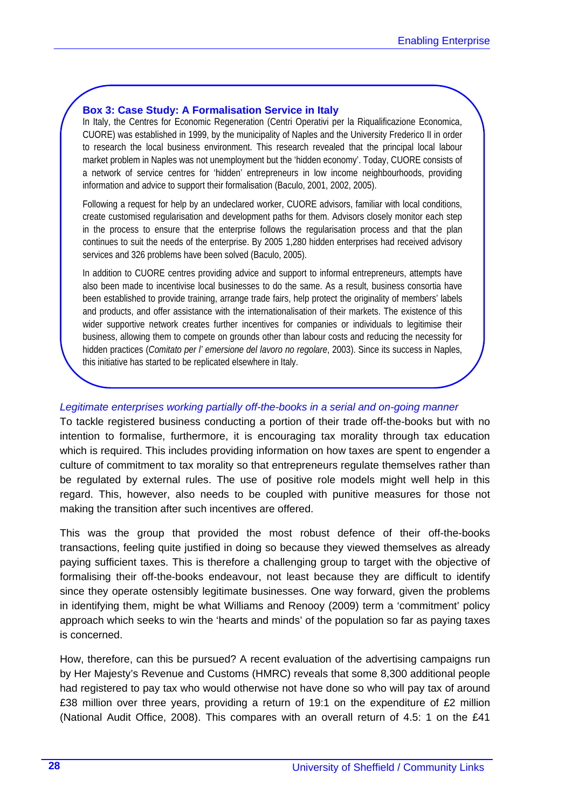#### **Box 3: Case Study: A Formalisation Service in Italy**

In Italy, the Centres for Economic Regeneration (Centri Operativi per la Riqualificazione Economica, CUORE) was established in 1999, by the municipality of Naples and the University Frederico II in order to research the local business environment. This research revealed that the principal local labour market problem in Naples was not unemployment but the 'hidden economy'. Today, CUORE consists of a network of service centres for 'hidden' entrepreneurs in low income neighbourhoods, providing information and advice to support their formalisation (Baculo, 2001, 2002, 2005).

Following a request for help by an undeclared worker, CUORE advisors, familiar with local conditions, create customised regularisation and development paths for them. Advisors closely monitor each step in the process to ensure that the enterprise follows the regularisation process and that the plan continues to suit the needs of the enterprise. By 2005 1,280 hidden enterprises had received advisory services and 326 problems have been solved (Baculo, 2005).

In addition to CUORE centres providing advice and support to informal entrepreneurs, attempts have also been made to incentivise local businesses to do the same. As a result, business consortia have been established to provide training, arrange trade fairs, help protect the originality of members' labels and products, and offer assistance with the internationalisation of their markets. The existence of this wider supportive network creates further incentives for companies or individuals to legitimise their business, allowing them to compete on grounds other than labour costs and reducing the necessity for hidden practices (*Comitato per l' emersione del lavoro no regolare*, 2003). Since its success in Naples, this initiative has started to be replicated elsewhere in Italy.

#### *Legitimate enterprises working partially off-the-books in a serial and on-going manner*

To tackle registered business conducting a portion of their trade off-the-books but with no intention to formalise, furthermore, it is encouraging tax morality through tax education which is required. This includes providing information on how taxes are spent to engender a culture of commitment to tax morality so that entrepreneurs regulate themselves rather than be regulated by external rules. The use of positive role models might well help in this regard. This, however, also needs to be coupled with punitive measures for those not making the transition after such incentives are offered.

This was the group that provided the most robust defence of their off-the-books transactions, feeling quite justified in doing so because they viewed themselves as already paying sufficient taxes. This is therefore a challenging group to target with the objective of formalising their off-the-books endeavour, not least because they are difficult to identify since they operate ostensibly legitimate businesses. One way forward, given the problems in identifying them, might be what Williams and Renooy (2009) term a 'commitment' policy approach which seeks to win the 'hearts and minds' of the population so far as paying taxes is concerned.

How, therefore, can this be pursued? A recent evaluation of the advertising campaigns run by Her Majesty's Revenue and Customs (HMRC) reveals that some 8,300 additional people had registered to pay tax who would otherwise not have done so who will pay tax of around £38 million over three years, providing a return of 19:1 on the expenditure of £2 million (National Audit Office, 2008). This compares with an overall return of 4.5: 1 on the £41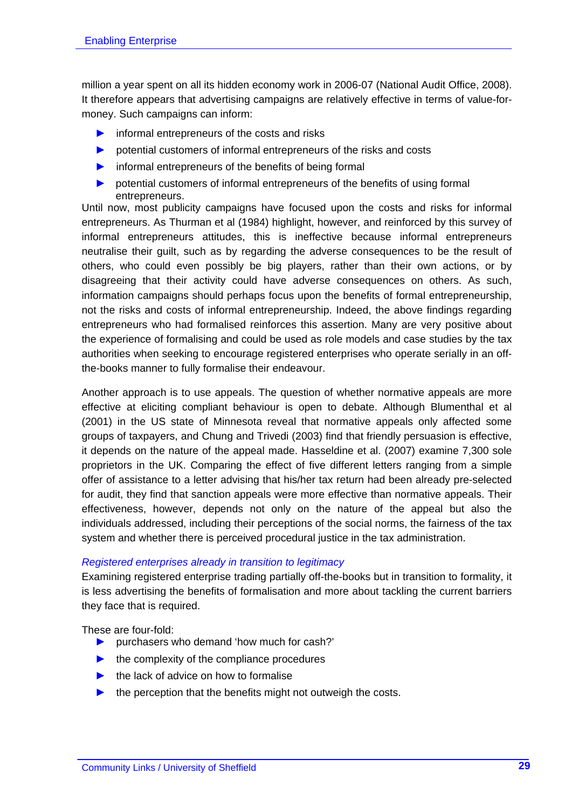million a year spent on all its hidden economy work in 2006-07 (National Audit Office, 2008). It therefore appears that advertising campaigns are relatively effective in terms of value-formoney. Such campaigns can inform:

- $\triangleright$  informal entrepreneurs of the costs and risks
- ► potential customers of informal entrepreneurs of the risks and costs
- ► informal entrepreneurs of the benefits of being formal
- ► potential customers of informal entrepreneurs of the benefits of using formal entrepreneurs.

Until now, most publicity campaigns have focused upon the costs and risks for informal entrepreneurs. As Thurman et al (1984) highlight, however, and reinforced by this survey of informal entrepreneurs attitudes, this is ineffective because informal entrepreneurs neutralise their guilt, such as by regarding the adverse consequences to be the result of others, who could even possibly be big players, rather than their own actions, or by disagreeing that their activity could have adverse consequences on others. As such, information campaigns should perhaps focus upon the benefits of formal entrepreneurship, not the risks and costs of informal entrepreneurship. Indeed, the above findings regarding entrepreneurs who had formalised reinforces this assertion. Many are very positive about the experience of formalising and could be used as role models and case studies by the tax authorities when seeking to encourage registered enterprises who operate serially in an offthe-books manner to fully formalise their endeavour.

Another approach is to use appeals. The question of whether normative appeals are more effective at eliciting compliant behaviour is open to debate. Although Blumenthal et al (2001) in the US state of Minnesota reveal that normative appeals only affected some groups of taxpayers, and Chung and Trivedi (2003) find that friendly persuasion is effective, it depends on the nature of the appeal made. Hasseldine et al. (2007) examine 7,300 sole proprietors in the UK. Comparing the effect of five different letters ranging from a simple offer of assistance to a letter advising that his/her tax return had been already pre-selected for audit, they find that sanction appeals were more effective than normative appeals. Their effectiveness, however, depends not only on the nature of the appeal but also the individuals addressed, including their perceptions of the social norms, the fairness of the tax system and whether there is perceived procedural justice in the tax administration.

#### *Registered enterprises already in transition to legitimacy*

Examining registered enterprise trading partially off-the-books but in transition to formality, it is less advertising the benefits of formalisation and more about tackling the current barriers they face that is required.

These are four-fold:

- ► purchasers who demand 'how much for cash?'
- $\blacktriangleright$  the complexity of the compliance procedures
- $\blacktriangleright$  the lack of advice on how to formalise
- the perception that the benefits might not outweigh the costs.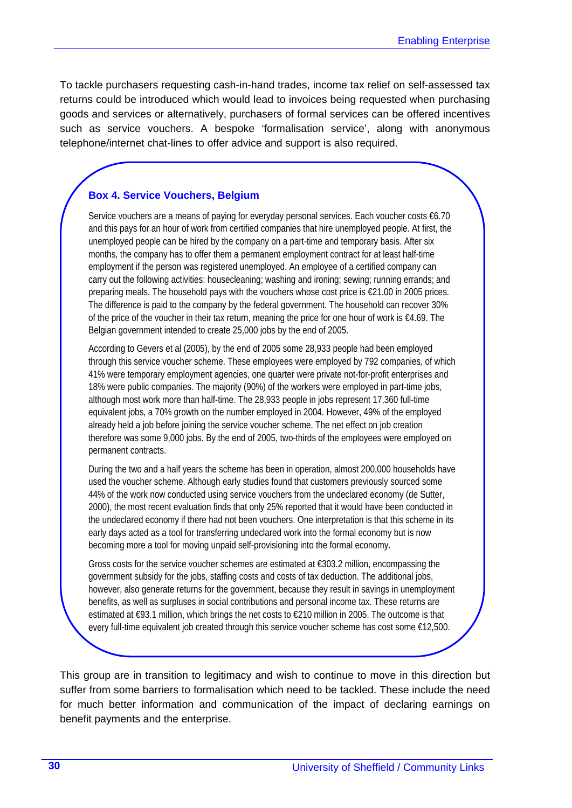To tackle purchasers requesting cash-in-hand trades, income tax relief on self-assessed tax returns could be introduced which would lead to invoices being requested when purchasing goods and services or alternatively, purchasers of formal services can be offered incentives such as service vouchers. A bespoke 'formalisation service', along with anonymous telephone/internet chat-lines to offer advice and support is also required.

#### **Box 4. Service Vouchers, Belgium**

Service vouchers are a means of paying for everyday personal services. Each voucher costs €6.70 and this pays for an hour of work from certified companies that hire unemployed people. At first, the unemployed people can be hired by the company on a part-time and temporary basis. After six months, the company has to offer them a permanent employment contract for at least half-time employment if the person was registered unemployed. An employee of a certified company can carry out the following activities: housecleaning; washing and ironing; sewing; running errands; and preparing meals. The household pays with the vouchers whose cost price is  $\epsilon$ 21.00 in 2005 prices. The difference is paid to the company by the federal government. The household can recover 30% of the price of the voucher in their tax return, meaning the price for one hour of work is €4.69. The Belgian government intended to create 25,000 jobs by the end of 2005.

According to Gevers et al (2005), by the end of 2005 some 28,933 people had been employed through this service voucher scheme. These employees were employed by 792 companies, of which 41% were temporary employment agencies, one quarter were private not-for-profit enterprises and 18% were public companies. The majority (90%) of the workers were employed in part-time jobs, although most work more than half-time. The 28,933 people in jobs represent 17,360 full-time equivalent jobs, a 70% growth on the number employed in 2004. However, 49% of the employed already held a job before joining the service voucher scheme. The net effect on job creation therefore was some 9,000 jobs. By the end of 2005, two-thirds of the employees were employed on permanent contracts.

During the two and a half years the scheme has been in operation, almost 200,000 households have used the voucher scheme. Although early studies found that customers previously sourced some 44% of the work now conducted using service vouchers from the undeclared economy (de Sutter, 2000), the most recent evaluation finds that only 25% reported that it would have been conducted in the undeclared economy if there had not been vouchers. One interpretation is that this scheme in its early days acted as a tool for transferring undeclared work into the formal economy but is now becoming more a tool for moving unpaid self-provisioning into the formal economy.

Gross costs for the service voucher schemes are estimated at €303.2 million, encompassing the government subsidy for the jobs, staffing costs and costs of tax deduction. The additional jobs, however, also generate returns for the government, because they result in savings in unemployment benefits, as well as surpluses in social contributions and personal income tax. These returns are estimated at €93.1 million, which brings the net costs to €210 million in 2005. The outcome is that every full-time equivalent job created through this service voucher scheme has cost some €12,500.

This group are in transition to legitimacy and wish to continue to move in this direction but suffer from some barriers to formalisation which need to be tackled. These include the need for much better information and communication of the impact of declaring earnings on benefit payments and the enterprise.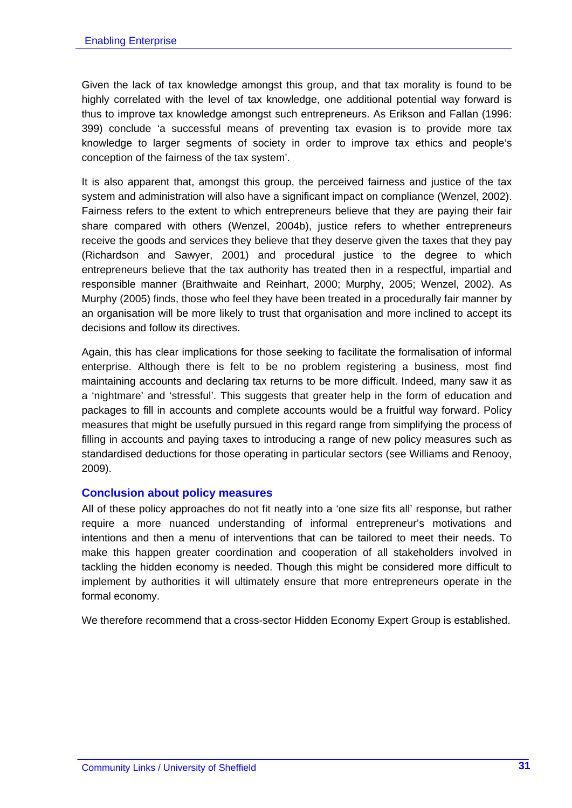Given the lack of tax knowledge amongst this group, and that tax morality is found to be highly correlated with the level of tax knowledge, one additional potential way forward is thus to improve tax knowledge amongst such entrepreneurs. As Erikson and Fallan (1996: 399) conclude 'a successful means of preventing tax evasion is to provide more tax knowledge to larger segments of society in order to improve tax ethics and people's conception of the fairness of the tax system'.

It is also apparent that, amongst this group, the perceived fairness and justice of the tax system and administration will also have a significant impact on compliance (Wenzel, 2002). Fairness refers to the extent to which entrepreneurs believe that they are paying their fair share compared with others (Wenzel, 2004b), justice refers to whether entrepreneurs receive the goods and services they believe that they deserve given the taxes that they pay (Richardson and Sawyer, 2001) and procedural justice to the degree to which entrepreneurs believe that the tax authority has treated then in a respectful, impartial and responsible manner (Braithwaite and Reinhart, 2000; Murphy, 2005; Wenzel, 2002). As Murphy (2005) finds, those who feel they have been treated in a procedurally fair manner by an organisation will be more likely to trust that organisation and more inclined to accept its decisions and follow its directives.

Again, this has clear implications for those seeking to facilitate the formalisation of informal enterprise. Although there is felt to be no problem registering a business, most find maintaining accounts and declaring tax returns to be more difficult. Indeed, many saw it as a 'nightmare' and 'stressful'. This suggests that greater help in the form of education and packages to fill in accounts and complete accounts would be a fruitful way forward. Policy measures that might be usefully pursued in this regard range from simplifying the process of filling in accounts and paying taxes to introducing a range of new policy measures such as standardised deductions for those operating in particular sectors (see Williams and Renooy, 2009).

#### **Conclusion about policy measures**

All of these policy approaches do not fit neatly into a 'one size fits all' response, but rather require a more nuanced understanding of informal entrepreneur's motivations and intentions and then a menu of interventions that can be tailored to meet their needs. To make this happen greater coordination and cooperation of all stakeholders involved in tackling the hidden economy is needed. Though this might be considered more difficult to implement by authorities it will ultimately ensure that more entrepreneurs operate in the formal economy.

We therefore recommend that a cross-sector Hidden Economy Expert Group is established.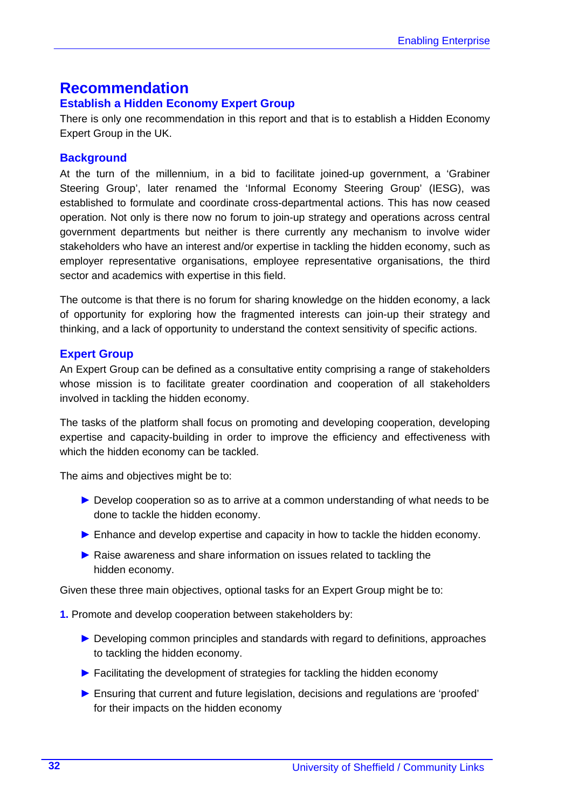## **Recommendation**

#### **Establish a Hidden Economy Expert Group**

There is only one recommendation in this report and that is to establish a Hidden Economy Expert Group in the UK.

#### **Background**

At the turn of the millennium, in a bid to facilitate joined-up government, a 'Grabiner Steering Group', later renamed the 'Informal Economy Steering Group' (IESG), was established to formulate and coordinate cross-departmental actions. This has now ceased operation. Not only is there now no forum to join-up strategy and operations across central government departments but neither is there currently any mechanism to involve wider stakeholders who have an interest and/or expertise in tackling the hidden economy, such as employer representative organisations, employee representative organisations, the third sector and academics with expertise in this field.

The outcome is that there is no forum for sharing knowledge on the hidden economy, a lack of opportunity for exploring how the fragmented interests can join-up their strategy and thinking, and a lack of opportunity to understand the context sensitivity of specific actions.

#### **Expert Group**

An Expert Group can be defined as a consultative entity comprising a range of stakeholders whose mission is to facilitate greater coordination and cooperation of all stakeholders involved in tackling the hidden economy.

The tasks of the platform shall focus on promoting and developing cooperation, developing expertise and capacity-building in order to improve the efficiency and effectiveness with which the hidden economy can be tackled.

The aims and objectives might be to:

- ► Develop cooperation so as to arrive at a common understanding of what needs to be done to tackle the hidden economy.
- ► Enhance and develop expertise and capacity in how to tackle the hidden economy.
- ▶ Raise awareness and share information on issues related to tackling the hidden economy.

Given these three main objectives, optional tasks for an Expert Group might be to:

**1.** Promote and develop cooperation between stakeholders by:

- ► Developing common principles and standards with regard to definitions, approaches to tackling the hidden economy.
- ► Facilitating the development of strategies for tackling the hidden economy
- ► Ensuring that current and future legislation, decisions and regulations are 'proofed' for their impacts on the hidden economy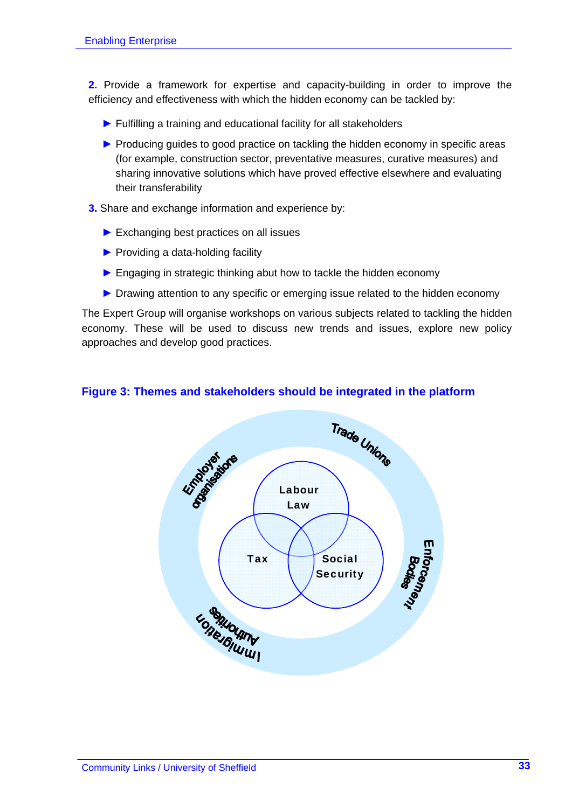**2.** Provide a framework for expertise and capacity-building in order to improve the efficiency and effectiveness with which the hidden economy can be tackled by:

- ► Fulfilling a training and educational facility for all stakeholders
- ▶ Producing guides to good practice on tackling the hidden economy in specific areas (for example, construction sector, preventative measures, curative measures) and sharing innovative solutions which have proved effective elsewhere and evaluating their transferability
- **3.** Share and exchange information and experience by:
	- ▶ Exchanging best practices on all issues
	- ▶ Providing a data-holding facility
	- ► Engaging in strategic thinking abut how to tackle the hidden economy
	- ▶ Drawing attention to any specific or emerging issue related to the hidden economy

The Expert Group will organise workshops on various subjects related to tackling the hidden economy. These will be used to discuss new trends and issues, explore new policy approaches and develop good practices.

#### **Figure 3: Themes and stakeholders should be integrated in the platform**

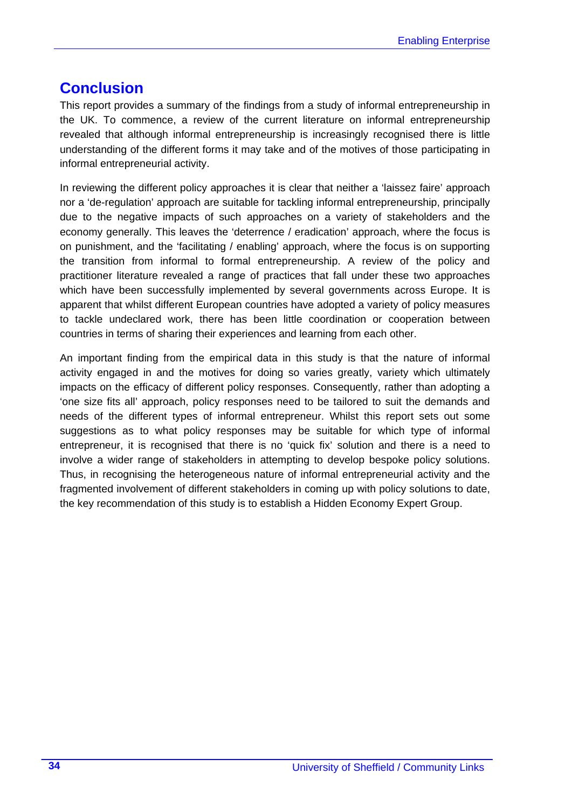## **Conclusion**

This report provides a summary of the findings from a study of informal entrepreneurship in the UK. To commence, a review of the current literature on informal entrepreneurship revealed that although informal entrepreneurship is increasingly recognised there is little understanding of the different forms it may take and of the motives of those participating in informal entrepreneurial activity.

In reviewing the different policy approaches it is clear that neither a 'laissez faire' approach nor a 'de-regulation' approach are suitable for tackling informal entrepreneurship, principally due to the negative impacts of such approaches on a variety of stakeholders and the economy generally. This leaves the 'deterrence / eradication' approach, where the focus is on punishment, and the 'facilitating / enabling' approach, where the focus is on supporting the transition from informal to formal entrepreneurship. A review of the policy and practitioner literature revealed a range of practices that fall under these two approaches which have been successfully implemented by several governments across Europe. It is apparent that whilst different European countries have adopted a variety of policy measures to tackle undeclared work, there has been little coordination or cooperation between countries in terms of sharing their experiences and learning from each other.

An important finding from the empirical data in this study is that the nature of informal activity engaged in and the motives for doing so varies greatly, variety which ultimately impacts on the efficacy of different policy responses. Consequently, rather than adopting a 'one size fits all' approach, policy responses need to be tailored to suit the demands and needs of the different types of informal entrepreneur. Whilst this report sets out some suggestions as to what policy responses may be suitable for which type of informal entrepreneur, it is recognised that there is no 'quick fix' solution and there is a need to involve a wider range of stakeholders in attempting to develop bespoke policy solutions. Thus, in recognising the heterogeneous nature of informal entrepreneurial activity and the fragmented involvement of different stakeholders in coming up with policy solutions to date, the key recommendation of this study is to establish a Hidden Economy Expert Group.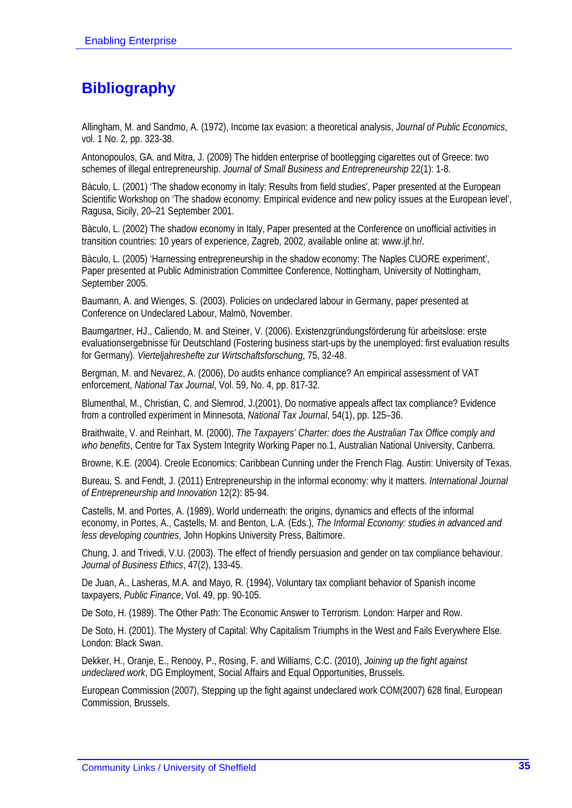# **Bibliography**

Allingham, M. and Sandmo, A. (1972), Income tax evasion: a theoretical analysis, *Journal of Public Economics*, vol. 1 No. 2, pp. 323-38.

Antonopoulos, GA. and Mitra, J. (2009) The hidden enterprise of bootlegging cigarettes out of Greece: two schemes of illegal entrepreneurship. *Journal of Small Business and Entrepreneurship* 22(1): 1-8.

Bàculo, L. (2001) 'The shadow economy in Italy: Results from field studies', Paper presented at the European Scientific Workshop on 'The shadow economy: Empirical evidence and new policy issues at the European level', Ragusa, Sicily, 20–21 September 2001.

Bàculo, L. (2002) The shadow economy in Italy, Paper presented at the Conference on unofficial activities in transition countries: 10 years of experience, Zagreb, 2002, available online at: www.ijf.hr/.

Bàculo, L. (2005) 'Harnessing entrepreneurship in the shadow economy: The Naples CUORE experiment', Paper presented at Public Administration Committee Conference, Nottingham, University of Nottingham, September 2005.

Baumann, A. and Wienges, S. (2003). Policies on undeclared labour in Germany, paper presented at Conference on Undeclared Labour, Malmö, November.

Baumgartner, HJ., Caliendo, M. and Steiner, V. (2006). Existenzgründungsförderung für arbeitslose: erste evaluationsergebnisse für Deutschland (Fostering business start-ups by the unemployed: first evaluation results for Germany). *Vierteljahreshefte zur Wirtschaftsforschung*, 75, 32-48.

Bergman, M. and Nevarez, A. (2006), Do audits enhance compliance? An empirical assessment of VAT enforcement, *National Tax Journal*, Vol. 59, No. 4, pp. 817-32.

Blumenthal, M., Christian, C. and Slemrod, J.(2001), Do normative appeals affect tax compliance? Evidence from a controlled experiment in Minnesota, *National Tax Journal*, 54(1), pp. 125–36.

Braithwaite, V. and Reinhart, M. (2000), *The Taxpayers' Charter: does the Australian Tax Office comply and who benefits*, Centre for Tax System Integrity Working Paper no.1, Australian National University, Canberra.

Browne, K.E. (2004). Creole Economics: Caribbean Cunning under the French Flag. Austin: University of Texas.

Bureau, S. and Fendt, J. (2011) Entrepreneurship in the informal economy: why it matters. *International Journal of Entrepreneurship and Innovation* 12(2): 85-94.

Castells, M. and Portes, A. (1989), World underneath: the origins, dynamics and effects of the informal economy, in Portes, A., Castells, M. and Benton, L.A. (Eds.), *The Informal Economy: studies in advanced and less developing countries*, John Hopkins University Press, Baltimore.

Chung, J. and Trivedi, V.U. (2003). The effect of friendly persuasion and gender on tax compliance behaviour. *Journal of Business Ethics*, 47(2), 133-45.

De Juan, A., Lasheras, M.A. and Mayo, R. (1994), Voluntary tax compliant behavior of Spanish income taxpayers, *Public Finance*, Vol. 49, pp. 90-105.

De Soto, H. (1989). The Other Path: The Economic Answer to Terrorism. London: Harper and Row.

De Soto, H. (2001). The Mystery of Capital: Why Capitalism Triumphs in the West and Fails Everywhere Else. London: Black Swan.

Dekker, H., Oranje, E., Renooy, P., Rosing, F. and Williams, C.C. (2010), *Joining up the fight against undeclared work*, DG Employment, Social Affairs and Equal Opportunities, Brussels.

European Commission (2007), Stepping up the fight against undeclared work COM(2007) 628 final, European Commission, Brussels.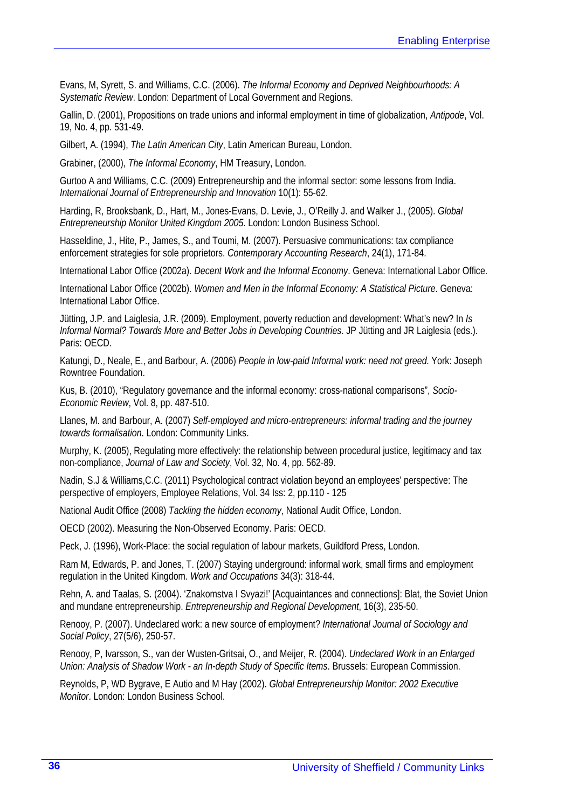Evans, M, Syrett, S. and Williams, C.C. (2006). *The Informal Economy and Deprived Neighbourhoods: A Systematic Review*. London: Department of Local Government and Regions.

Gallin, D. (2001), Propositions on trade unions and informal employment in time of globalization, *Antipode*, Vol. 19, No. 4, pp. 531-49.

Gilbert, A. (1994), *The Latin American City*, Latin American Bureau, London.

Grabiner, (2000), *The Informal Economy*, HM Treasury, London.

Gurtoo A and Williams, C.C. (2009) Entrepreneurship and the informal sector: some lessons from India. *International Journal of Entrepreneurship and Innovation* 10(1): 55-62.

Harding, R, Brooksbank, D., Hart, M., Jones-Evans, D. Levie, J., O'Reilly J. and Walker J., (2005). *Global Entrepreneurship Monitor United Kingdom 2005*. London: London Business School.

Hasseldine, J., Hite, P., James, S., and Toumi, M. (2007). Persuasive communications: tax compliance enforcement strategies for sole proprietors. *Contemporary Accounting Research*, 24(1), 171-84.

International Labor Office (2002a). *Decent Work and the Informal Economy*. Geneva: International Labor Office.

International Labor Office (2002b). *Women and Men in the Informal Economy: A Statistical Picture*. Geneva: International Labor Office.

Jütting, J.P. and Laiglesia, J.R. (2009). Employment, poverty reduction and development: What's new? In *Is Informal Normal? Towards More and Better Jobs in Developing Countries*. JP Jütting and JR Laiglesia (eds.). Paris: OECD.

Katungi, D., Neale, E., and Barbour, A. (2006) *People in low-paid Informal work: need not greed*. York: Joseph Rowntree Foundation.

Kus, B. (2010), "Regulatory governance and the informal economy: cross-national comparisons", *Socio-Economic Review*, Vol. 8, pp. 487-510.

Llanes, M. and Barbour, A. (2007) *Self-employed and micro-entrepreneurs: informal trading and the journey towards formalisation*. London: Community Links.

Murphy, K. (2005), Regulating more effectively: the relationship between procedural justice, legitimacy and tax non-compliance, *Journal of Law and Society*, Vol. 32, No. 4, pp. 562-89.

Nadin, S.J & Williams,C.C. (2011) Psychological contract violation beyond an employees' perspective: The perspective of employers, Employee Relations, Vol. 34 Iss: 2, pp.110 - 125

National Audit Office (2008) *Tackling the hidden economy*, National Audit Office, London.

OECD (2002). Measuring the Non-Observed Economy. Paris: OECD.

Peck, J. (1996), Work-Place: the social regulation of labour markets, Guildford Press, London.

Ram M, Edwards, P. and Jones, T. (2007) Staying underground: informal work, small firms and employment regulation in the United Kingdom. *Work and Occupations* 34(3): 318-44.

Rehn, A. and Taalas, S. (2004). 'Znakomstva I Svyazi!' [Acquaintances and connections]: Blat, the Soviet Union and mundane entrepreneurship. *Entrepreneurship and Regional Development*, 16(3), 235-50.

Renooy, P. (2007). Undeclared work: a new source of employment? *International Journal of Sociology and Social Policy*, 27(5/6), 250-57.

Renooy, P, Ivarsson, S., van der Wusten-Gritsai, O., and Meijer, R. (2004). *Undeclared Work in an Enlarged Union: Analysis of Shadow Work - an In-depth Study of Specific Items*. Brussels: European Commission.

Reynolds, P, WD Bygrave, E Autio and M Hay (2002). *Global Entrepreneurship Monitor: 2002 Executive Monitor*. London: London Business School.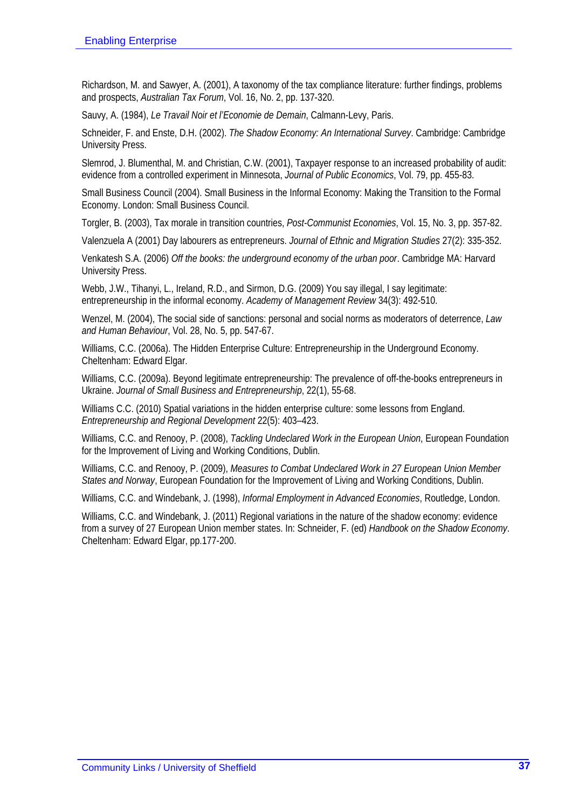Richardson, M. and Sawyer, A. (2001), A taxonomy of the tax compliance literature: further findings, problems and prospects, *Australian Tax Forum*, Vol. 16, No. 2, pp. 137-320.

Sauvy, A. (1984), *Le Travail Noir et l'Economie de Demain*, Calmann-Levy, Paris.

Schneider, F. and Enste, D.H. (2002). *The Shadow Economy: An International Survey*. Cambridge: Cambridge University Press.

Slemrod, J. Blumenthal, M. and Christian, C.W. (2001), Taxpayer response to an increased probability of audit: evidence from a controlled experiment in Minnesota, *Journal of Public Economics*, Vol. 79, pp. 455-83.

Small Business Council (2004). Small Business in the Informal Economy: Making the Transition to the Formal Economy. London: Small Business Council.

Torgler, B. (2003), Tax morale in transition countries, *Post-Communist Economies*, Vol. 15, No. 3, pp. 357-82.

Valenzuela A (2001) Day labourers as entrepreneurs. *Journal of Ethnic and Migration Studies* 27(2): 335-352.

Venkatesh S.A. (2006) *Off the books: the underground economy of the urban poor*. Cambridge MA: Harvard University Press.

Webb, J.W., Tihanyi, L., Ireland, R.D., and Sirmon, D.G. (2009) You say illegal, I say legitimate: entrepreneurship in the informal economy. *Academy of Management Review* 34(3): 492-510.

Wenzel, M. (2004), The social side of sanctions: personal and social norms as moderators of deterrence, *Law and Human Behaviour*, Vol. 28, No. 5, pp. 547-67.

Williams, C.C. (2006a). The Hidden Enterprise Culture: Entrepreneurship in the Underground Economy. Cheltenham: Edward Elgar.

Williams, C.C. (2009a). Beyond legitimate entrepreneurship: The prevalence of off-the-books entrepreneurs in Ukraine. *Journal of Small Business and Entrepreneurship*, 22(1), 55-68.

Williams C.C. (2010) Spatial variations in the hidden enterprise culture: some lessons from England. *Entrepreneurship and Regional Development* 22(5): 403–423.

Williams, C.C. and Renooy, P. (2008), *Tackling Undeclared Work in the European Union*, European Foundation for the Improvement of Living and Working Conditions, Dublin.

Williams, C.C. and Renooy, P. (2009), *Measures to Combat Undeclared Work in 27 European Union Member States and Norway*, European Foundation for the Improvement of Living and Working Conditions, Dublin.

Williams, C.C. and Windebank, J. (1998), *Informal Employment in Advanced Economies*, Routledge, London.

Williams, C.C. and Windebank, J. (2011) Regional variations in the nature of the shadow economy: evidence from a survey of 27 European Union member states. In: Schneider, F. (ed) *Handbook on the Shadow Economy*. Cheltenham: Edward Elgar, pp.177-200.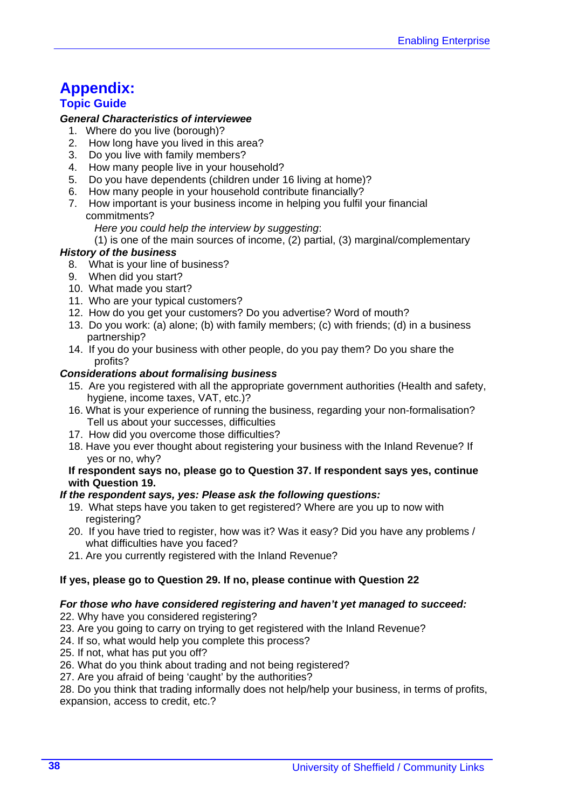# **Appendix:**

#### **Topic Guide**

#### *General Characteristics of interviewee*

- 1. Where do you live (borough)?
- 2. How long have you lived in this area?
- 3. Do you live with family members?
- 4. How many people live in your household?
- 5. Do you have dependents (children under 16 living at home)?
- 6. How many people in your household contribute financially?
- 7. How important is your business income in helping you fulfil your financial commitments?
	- *Here you could help the interview by suggesting*:
	- (1) is one of the main sources of income, (2) partial, (3) marginal/complementary

#### *History of the business*

- 8. What is your line of business?
- 9. When did you start?
- 10. What made you start?
- 11. Who are your typical customers?
- 12. How do you get your customers? Do you advertise? Word of mouth?
- 13. Do you work: (a) alone; (b) with family members; (c) with friends; (d) in a business partnership?
- 14. If you do your business with other people, do you pay them? Do you share the profits?

#### *Considerations about formalising business*

- 15. Are you registered with all the appropriate government authorities (Health and safety, hygiene, income taxes, VAT, etc.)?
- 16. What is your experience of running the business, regarding your non-formalisation? Tell us about your successes, difficulties
- 17. How did you overcome those difficulties?
- 18. Have you ever thought about registering your business with the Inland Revenue? If yes or no, why?

#### **If respondent says no, please go to Question 37. If respondent says yes, continue with Question 19.**

#### *If the respondent says, yes: Please ask the following questions:*

- 19. What steps have you taken to get registered? Where are you up to now with registering?
- 20. If you have tried to register, how was it? Was it easy? Did you have any problems / what difficulties have you faced?
- 21. Are you currently registered with the Inland Revenue?

#### **If yes, please go to Question 29. If no, please continue with Question 22**

#### *For those who have considered registering and haven't yet managed to succeed:*

- 22. Why have you considered registering?
- 23. Are you going to carry on trying to get registered with the Inland Revenue?
- 24. If so, what would help you complete this process?
- 25. If not, what has put you off?
- 26. What do you think about trading and not being registered?
- 27. Are you afraid of being 'caught' by the authorities?

28. Do you think that trading informally does not help/help your business, in terms of profits, expansion, access to credit, etc.?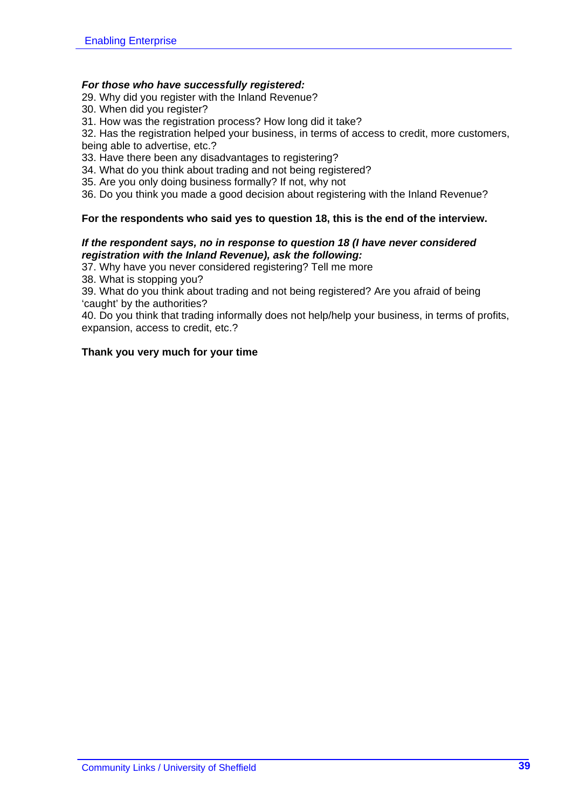#### *For those who have successfully registered:*

- 29. Why did you register with the Inland Revenue?
- 30. When did you register?
- 31. How was the registration process? How long did it take?

32. Has the registration helped your business, in terms of access to credit, more customers, being able to advertise, etc.?

- 33. Have there been any disadvantages to registering?
- 34. What do you think about trading and not being registered?
- 35. Are you only doing business formally? If not, why not
- 36. Do you think you made a good decision about registering with the Inland Revenue?

#### **For the respondents who said yes to question 18, this is the end of the interview.**

#### *If the respondent says, no in response to question 18 (I have never considered registration with the Inland Revenue), ask the following:*

37. Why have you never considered registering? Tell me more

38. What is stopping you?

39. What do you think about trading and not being registered? Are you afraid of being 'caught' by the authorities?

40. Do you think that trading informally does not help/help your business, in terms of profits, expansion, access to credit, etc.?

#### **Thank you very much for your time**